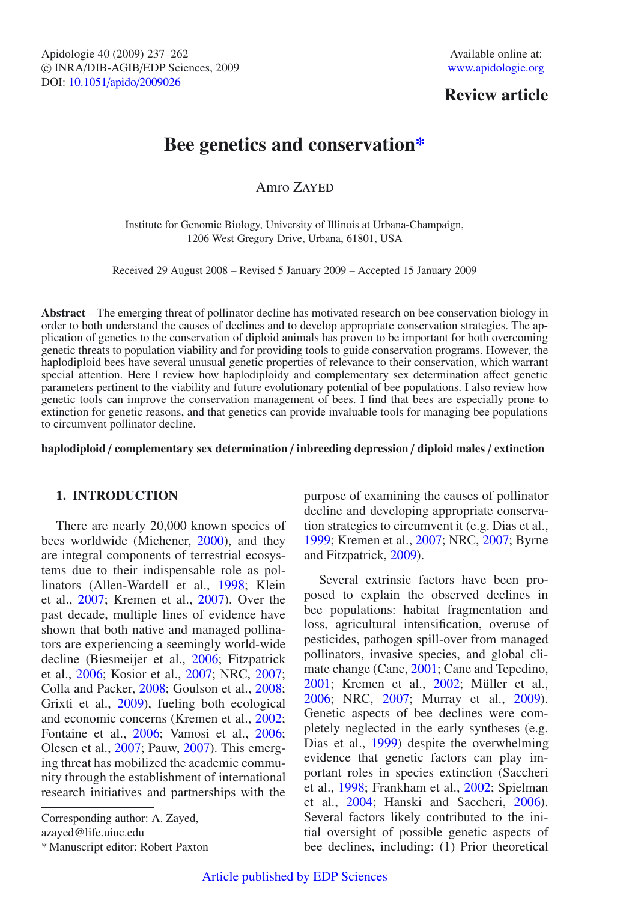## **Review article**

# **Bee genetics and conservation\***

Amro ZAYED

Institute for Genomic Biology, University of Illinois at Urbana-Champaign, 1206 West Gregory Drive, Urbana, 61801, USA

Received 29 August 2008 – Revised 5 January 2009 – Accepted 15 January 2009

**Abstract** – The emerging threat of pollinator decline has motivated research on bee conservation biology in order to both understand the causes of declines and to develop appropriate conservation strategies. The application of genetics to the conservation of diploid animals has proven to be important for both overcoming genetic threats to population viability and for providing tools to guide conservation programs. However, the haplodiploid bees have several unusual genetic properties of relevance to their conservation, which warrant special attention. Here I review how haplodiploidy and complementary sex determination affect genetic parameters pertinent to the viability and future evolutionary potential of bee populations. I also review how genetic tools can improve the conservation management of bees. I find that bees are especially prone to extinction for genetic reasons, and that genetics can provide invaluable tools for managing bee populations to circumvent pollinator decline.

**haplodiploid** / **complementary sex determination** / **inbreeding depression** / **diploid males** / **extinction**

## **1. INTRODUCTION**

There are nearly 20,000 known species of bees worldwide (Michener, [2000\)](#page-22-0), and they are integral components of terrestrial ecosystems due to their indispensable role as pollinators (Allen-Wardell et al., [1998;](#page-18-0) Klein et al., [2007;](#page-21-0) Kremen et al., [2007\)](#page-22-1). Over the past decade, multiple lines of evidence have shown that both native and managed pollinators are experiencing a seemingly world-wide decline (Biesmeijer et al., [2006;](#page-18-1) Fitzpatrick et al., [2006;](#page-20-0) Kosior et al., [2007](#page-21-1); NRC, [2007;](#page-23-0) Colla and Packer, [2008;](#page-19-0) Goulson et al., [2008;](#page-21-2) Grixti et al., [2009\)](#page-21-3), fueling both ecological and economic concerns (Kremen et al., [2002;](#page-21-4) Fontaine et al., [2006;](#page-20-1) Vamosi et al., [2006;](#page-24-0) Olesen et al., [2007;](#page-23-1) Pauw, [2007\)](#page-23-2). This emerging threat has mobilized the academic community through the establishment of international research initiatives and partnerships with the

azayed@life.uiuc.edu

purpose of examining the causes of pollinator decline and developing appropriate conservation strategies to circumvent it (e.g. Dias et al., [1999;](#page-20-2) Kremen et al., [2007;](#page-22-1) NRC, [2007](#page-23-0); Byrne and Fitzpatrick, [2009\)](#page-19-1).

Several extrinsic factors have been proposed to explain the observed declines in bee populations: habitat fragmentation and loss, agricultural intensification, overuse of pesticides, pathogen spill-over from managed pollinators, invasive species, and global climate change (Cane, [2001](#page-19-2); Cane and Tepedino, [2001;](#page-19-3) Kremen et al., [2002](#page-21-4); Müller et al., [2006;](#page-22-2) NRC, [2007;](#page-23-0) Murray et al., [2009](#page-23-3)). Genetic aspects of bee declines were completely neglected in the early syntheses (e.g. Dias et al., [1999](#page-20-2)) despite the overwhelming evidence that genetic factors can play important roles in species extinction (Saccheri et al., [1998](#page-24-1); Frankham et al., [2002;](#page-20-3) Spielman et al., [2004;](#page-24-2) Hanski and Saccheri, [2006](#page-21-5)). Several factors likely contributed to the initial oversight of possible genetic aspects of bee declines, including: (1) Prior theoretical

Corresponding author: A. Zayed,

<sup>\*</sup> Manuscript editor: Robert Paxton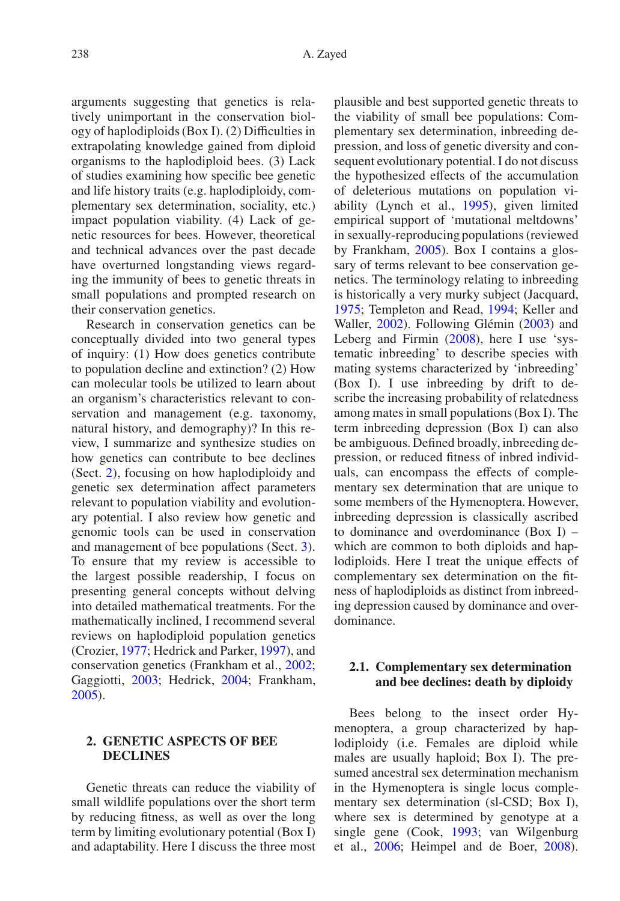arguments suggesting that genetics is relatively unimportant in the conservation biology of haplodiploids (Box I). (2) Difficulties in extrapolating knowledge gained from diploid organisms to the haplodiploid bees. (3) Lack of studies examining how specific bee genetic and life history traits (e.g. haplodiploidy, complementary sex determination, sociality, etc.) impact population viability. (4) Lack of genetic resources for bees. However, theoretical and technical advances over the past decade have overturned longstanding views regarding the immunity of bees to genetic threats in small populations and prompted research on their conservation genetics.

Research in conservation genetics can be conceptually divided into two general types of inquiry: (1) How does genetics contribute to population decline and extinction? (2) How can molecular tools be utilized to learn about an organism's characteristics relevant to conservation and management (e.g. taxonomy, natural history, and demography)? In this review, I summarize and synthesize studies on how genetics can contribute to bee declines (Sect. [2\)](#page-1-0), focusing on how haplodiploidy and genetic sex determination affect parameters relevant to population viability and evolutionary potential. I also review how genetic and genomic tools can be used in conservation and management of bee populations (Sect. [3\)](#page-10-0). To ensure that my review is accessible to the largest possible readership, I focus on presenting general concepts without delving into detailed mathematical treatments. For the mathematically inclined, I recommend several reviews on haplodiploid population genetics (Crozier, [1977](#page-19-4); Hedrick and Parker, [1997](#page-21-6)), and conservation genetics (Frankham et al., [2002;](#page-20-3) Gaggiotti, [2003;](#page-20-4) Hedrick, [2004](#page-21-7); Frankham, [2005\)](#page-20-5).

## <span id="page-1-0"></span>**2. GENETIC ASPECTS OF BEE DECLINES**

Genetic threats can reduce the viability of small wildlife populations over the short term by reducing fitness, as well as over the long term by limiting evolutionary potential (Box I) and adaptability. Here I discuss the three most

plausible and best supported genetic threats to the viability of small bee populations: Complementary sex determination, inbreeding depression, and loss of genetic diversity and consequent evolutionary potential. I do not discuss the hypothesized effects of the accumulation of deleterious mutations on population viability (Lynch et al., [1995\)](#page-22-3), given limited empirical support of 'mutational meltdowns' in sexually-reproducing populations (reviewed by Frankham, [2005](#page-20-5)). Box I contains a glossary of terms relevant to bee conservation genetics. The terminology relating to inbreeding is historically a very murky subject (Jacquard, [1975](#page-21-8); Templeton and Read, [1994](#page-24-3); Keller and Waller, [2002\)](#page-21-9). Following Glémin [\(2003](#page-21-10)) and Leberg and Firmin [\(2008](#page-22-4)), here I use 'systematic inbreeding' to describe species with mating systems characterized by 'inbreeding' (Box I). I use inbreeding by drift to describe the increasing probability of relatedness among mates in small populations (Box I). The term inbreeding depression (Box I) can also be ambiguous. Defined broadly, inbreeding depression, or reduced fitness of inbred individuals, can encompass the effects of complementary sex determination that are unique to some members of the Hymenoptera. However, inbreeding depression is classically ascribed to dominance and overdominance (Box I) – which are common to both diploids and haplodiploids. Here I treat the unique effects of complementary sex determination on the fitness of haplodiploids as distinct from inbreeding depression caused by dominance and overdominance.

### <span id="page-1-1"></span>**2.1. Complementary sex determination and bee declines: death by diploidy**

Bees belong to the insect order Hymenoptera, a group characterized by haplodiploidy (i.e. Females are diploid while males are usually haploid; Box I). The presumed ancestral sex determination mechanism in the Hymenoptera is single locus complementary sex determination (sl-CSD; Box I), where sex is determined by genotype at a single gene (Cook, [1993;](#page-19-5) van Wilgenburg et al., [2006](#page-24-4); Heimpel and de Boer, [2008\)](#page-21-11).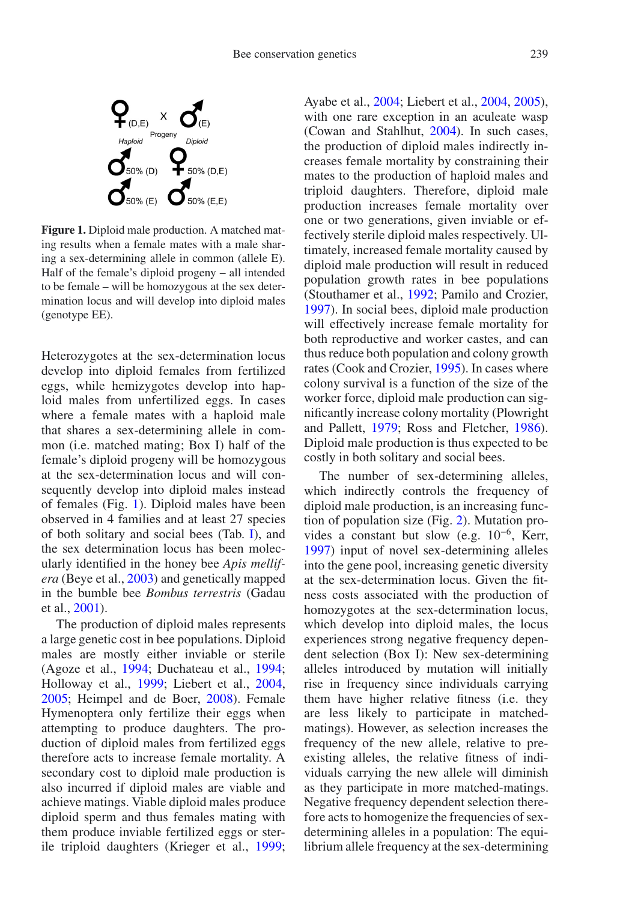<span id="page-2-0"></span>

**Figure 1.** Diploid male production. A matched mating results when a female mates with a male sharing a sex-determining allele in common (allele E). Half of the female's diploid progeny – all intended to be female – will be homozygous at the sex determination locus and will develop into diploid males (genotype EE).

Heterozygotes at the sex-determination locus develop into diploid females from fertilized eggs, while hemizygotes develop into haploid males from unfertilized eggs. In cases where a female mates with a haploid male that shares a sex-determining allele in common (i.e. matched mating; Box I) half of the female's diploid progeny will be homozygous at the sex-determination locus and will consequently develop into diploid males instead of females (Fig. [1\)](#page-2-0). Diploid males have been observed in 4 families and at least 27 species of both solitary and social bees (Tab. [I\)](#page-3-0), and the sex determination locus has been molecularly identified in the honey bee *Apis mellifera* (Beye et al., [2003\)](#page-18-2) and genetically mapped in the bumble bee *Bombus terrestris* (Gadau et al., [2001\)](#page-20-6).

The production of diploid males represents a large genetic cost in bee populations. Diploid males are mostly either inviable or sterile (Agoze et al., [1994;](#page-18-3) Duchateau et al., [1994;](#page-20-7) Holloway et al., [1999;](#page-21-12) Liebert et al., [2004,](#page-22-5) [2005](#page-22-6); Heimpel and de Boer, [2008\)](#page-21-11). Female Hymenoptera only fertilize their eggs when attempting to produce daughters. The production of diploid males from fertilized eggs therefore acts to increase female mortality. A secondary cost to diploid male production is also incurred if diploid males are viable and achieve matings. Viable diploid males produce diploid sperm and thus females mating with them produce inviable fertilized eggs or sterile triploid daughters (Krieger et al., [1999;](#page-22-7) Ayabe et al., [2004;](#page-18-4) Liebert et al., [2004](#page-22-5), [2005](#page-22-6)), with one rare exception in an aculeate wasp (Cowan and Stahlhut, [2004\)](#page-19-6). In such cases, the production of diploid males indirectly increases female mortality by constraining their mates to the production of haploid males and triploid daughters. Therefore, diploid male production increases female mortality over one or two generations, given inviable or effectively sterile diploid males respectively. Ultimately, increased female mortality caused by diploid male production will result in reduced population growth rates in bee populations (Stouthamer et al., [1992;](#page-24-5) Pamilo and Crozier, [1997\)](#page-23-4). In social bees, diploid male production will effectively increase female mortality for both reproductive and worker castes, and can thus reduce both population and colony growth rates (Cook and Crozier, [1995](#page-19-7)). In cases where colony survival is a function of the size of the worker force, diploid male production can significantly increase colony mortality (Plowright and Pallett, [1979](#page-23-5); Ross and Fletcher, [1986](#page-23-6)). Diploid male production is thus expected to be costly in both solitary and social bees.

The number of sex-determining alleles, which indirectly controls the frequency of diploid male production, is an increasing function of population size (Fig. [2\)](#page-4-0). Mutation provides a constant but slow (e.g. 10−6, Kerr, [1997\)](#page-21-13) input of novel sex-determining alleles into the gene pool, increasing genetic diversity at the sex-determination locus. Given the fitness costs associated with the production of homozygotes at the sex-determination locus, which develop into diploid males, the locus experiences strong negative frequency dependent selection (Box I): New sex-determining alleles introduced by mutation will initially rise in frequency since individuals carrying them have higher relative fitness (i.e. they are less likely to participate in matchedmatings). However, as selection increases the frequency of the new allele, relative to preexisting alleles, the relative fitness of individuals carrying the new allele will diminish as they participate in more matched-matings. Negative frequency dependent selection therefore acts to homogenize the frequencies of sexdetermining alleles in a population: The equilibrium allele frequency at the sex-determining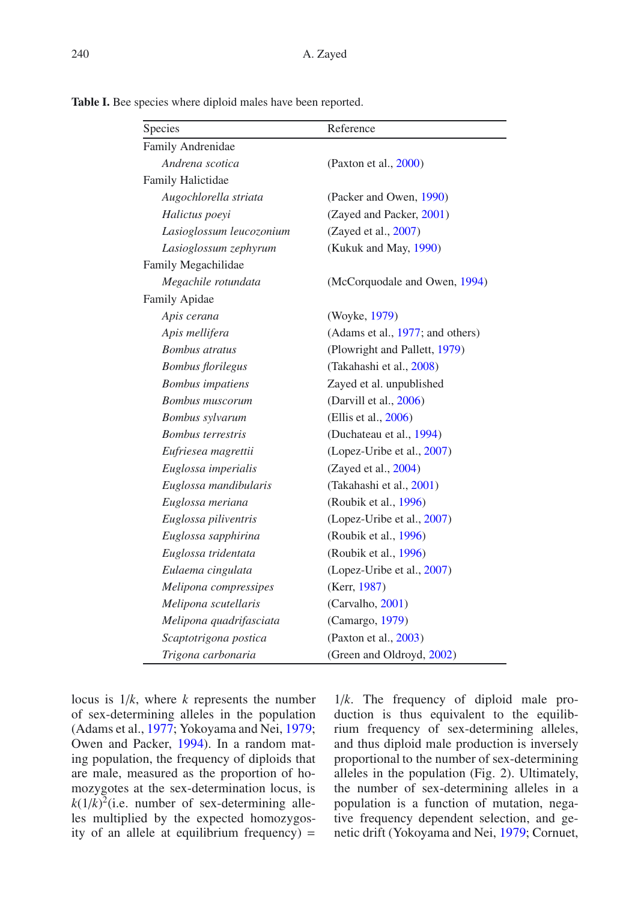| Species                  | Reference                        |
|--------------------------|----------------------------------|
| Family Andrenidae        |                                  |
| Andrena scotica          | (Paxton et al., $2000$ )         |
| Family Halictidae        |                                  |
| Augochlorella striata    | (Packer and Owen, 1990)          |
| Halictus poeyi           | (Zayed and Packer, 2001)         |
| Lasioglossum leucozonium | (Zayed et al., 2007)             |
| Lasioglossum zephyrum    | (Kukuk and May, 1990)            |
| Family Megachilidae      |                                  |
| Megachile rotundata      | (McCorquodale and Owen, 1994)    |
| Family Apidae            |                                  |
| Apis cerana              | (Woyke, 1979)                    |
| Apis mellifera           | (Adams et al., 1977; and others) |
| Bombus atratus           | (Plowright and Pallett, 1979)    |
| <b>Bombus</b> florilegus | (Takahashi et al., 2008)         |
| <b>Bombus</b> impatiens  | Zayed et al. unpublished         |
| Bombus muscorum          | (Darvill et al., $2006$ )        |
| Bombus sylvarum          | (Ellis et al., 2006)             |
| <b>Bombus</b> terrestris | (Duchateau et al., 1994)         |
| Eufriesea magrettii      | (Lopez-Uribe et al., 2007)       |
| Euglossa imperialis      | (Zayed et al., 2004)             |
| Euglossa mandibularis    | (Takahashi et al., 2001)         |
| Euglossa meriana         | (Roubik et al., 1996)            |
| Euglossa piliventris     | (Lopez-Uribe et al., 2007)       |
| Euglossa sapphirina      | (Roubik et al., 1996)            |
| Euglossa tridentata      | (Roubik et al., 1996)            |
| Eulaema cingulata        | (Lopez-Uribe et al., 2007)       |
| Melipona compressipes    | (Kerr, 1987)                     |
| Melipona scutellaris     | (Carvalho, 2001)                 |
| Melipona quadrifasciata  | (Camargo, 1979)                  |
| Scaptotrigona postica    | (Paxton et al., 2003)            |
| Trigona carbonaria       | (Green and Oldroyd, 2002)        |

<span id="page-3-0"></span>**Table I.** Bee species where diploid males have been reported.

locus is 1/*k*, where *k* represents the number of sex-determining alleles in the population (Adams et al., [1977;](#page-18-5) Yokoyama and Nei, [1979;](#page-25-4) Owen and Packer, [1994\)](#page-23-10). In a random mating population, the frequency of diploids that are male, measured as the proportion of homozygotes at the sex-determination locus, is  $k(1/k)^2$  (i.e. number of sex-determining alleles multiplied by the expected homozygosity of an allele at equilibrium frequency) =

1/*k*. The frequency of diploid male production is thus equivalent to the equilibrium frequency of sex-determining alleles, and thus diploid male production is inversely proportional to the number of sex-determining alleles in the population (Fig. 2). Ultimately, the number of sex-determining alleles in a population is a function of mutation, negative frequency dependent selection, and genetic drift (Yokoyama and Nei, [1979;](#page-25-4) Cornuet,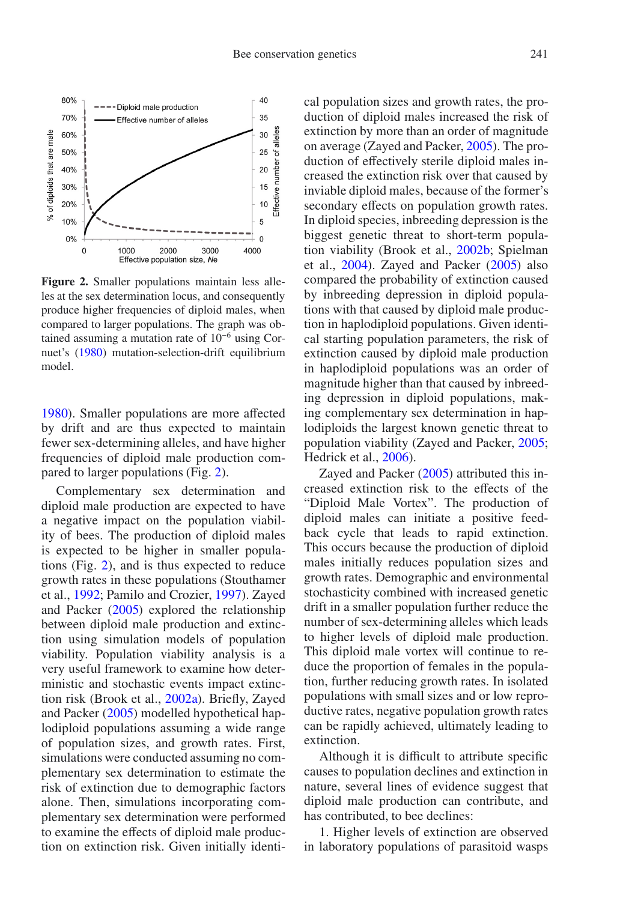<span id="page-4-0"></span>

**Figure 2.** Smaller populations maintain less alleles at the sex determination locus, and consequently produce higher frequencies of diploid males, when compared to larger populations. The graph was obtained assuming a mutation rate of  $10^{-6}$  using Cornuet's [\(1980](#page-19-10)) mutation-selection-drift equilibrium model.

[1980](#page-19-10)). Smaller populations are more affected by drift and are thus expected to maintain fewer sex-determining alleles, and have higher frequencies of diploid male production compared to larger populations (Fig. [2\)](#page-4-0).

Complementary sex determination and diploid male production are expected to have a negative impact on the population viability of bees. The production of diploid males is expected to be higher in smaller populations (Fig. [2\)](#page-4-0), and is thus expected to reduce growth rates in these populations (Stouthamer et al., [1992;](#page-24-5) Pamilo and Crozier, [1997\)](#page-23-4). Zayed and Packer [\(2005\)](#page-25-5) explored the relationship between diploid male production and extinction using simulation models of population viability. Population viability analysis is a very useful framework to examine how deterministic and stochastic events impact extinction risk (Brook et al., [2002a](#page-19-11)). Briefly, Zayed and Packer [\(2005\)](#page-25-5) modelled hypothetical haplodiploid populations assuming a wide range of population sizes, and growth rates. First, simulations were conducted assuming no complementary sex determination to estimate the risk of extinction due to demographic factors alone. Then, simulations incorporating complementary sex determination were performed to examine the effects of diploid male production on extinction risk. Given initially identical population sizes and growth rates, the production of diploid males increased the risk of extinction by more than an order of magnitude on average (Zayed and Packer, [2005\)](#page-25-5). The production of effectively sterile diploid males increased the extinction risk over that caused by inviable diploid males, because of the former's secondary effects on population growth rates. In diploid species, inbreeding depression is the biggest genetic threat to short-term population viability (Brook et al., [2002b;](#page-19-12) Spielman et al., [2004\)](#page-24-2). Zayed and Packer [\(2005](#page-25-5)) also compared the probability of extinction caused by inbreeding depression in diploid populations with that caused by diploid male production in haplodiploid populations. Given identical starting population parameters, the risk of extinction caused by diploid male production in haplodiploid populations was an order of magnitude higher than that caused by inbreeding depression in diploid populations, making complementary sex determination in haplodiploids the largest known genetic threat to population viability (Zayed and Packer, [2005](#page-25-5); Hedrick et al., [2006\)](#page-21-16).

Zayed and Packer [\(2005\)](#page-25-5) attributed this increased extinction risk to the effects of the "Diploid Male Vortex". The production of diploid males can initiate a positive feedback cycle that leads to rapid extinction. This occurs because the production of diploid males initially reduces population sizes and growth rates. Demographic and environmental stochasticity combined with increased genetic drift in a smaller population further reduce the number of sex-determining alleles which leads to higher levels of diploid male production. This diploid male vortex will continue to reduce the proportion of females in the population, further reducing growth rates. In isolated populations with small sizes and or low reproductive rates, negative population growth rates can be rapidly achieved, ultimately leading to extinction.

Although it is difficult to attribute specific causes to population declines and extinction in nature, several lines of evidence suggest that diploid male production can contribute, and has contributed, to bee declines:

1. Higher levels of extinction are observed in laboratory populations of parasitoid wasps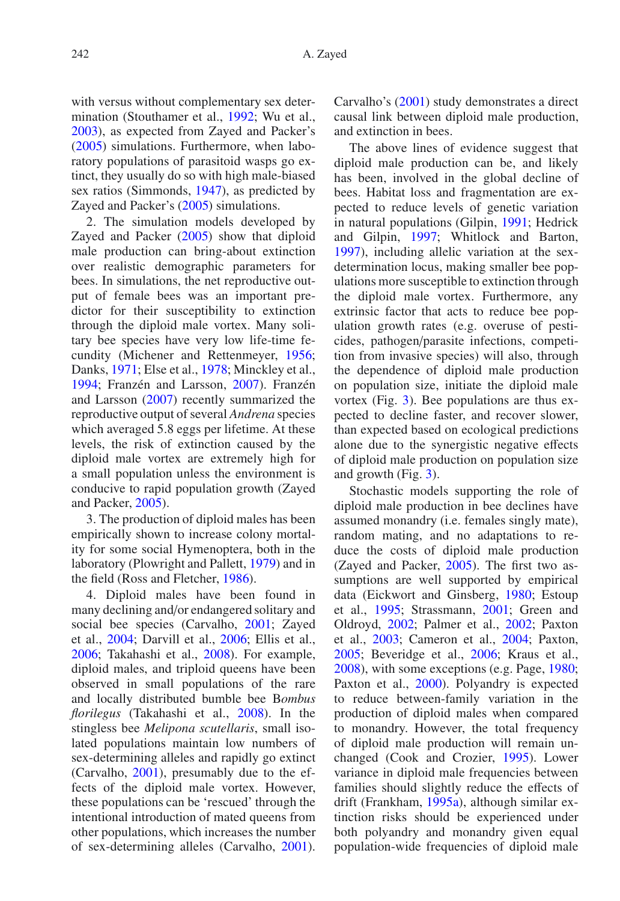with versus without complementary sex deter-mination (Stouthamer et al., [1992;](#page-24-5) Wu et al., [2003\)](#page-25-6), as expected from Zayed and Packer's [\(2005](#page-25-5)) simulations. Furthermore, when laboratory populations of parasitoid wasps go extinct, they usually do so with high male-biased sex ratios (Simmonds, [1947\)](#page-24-9), as predicted by Zayed and Packer's [\(2005\)](#page-25-5) simulations.

2. The simulation models developed by Zayed and Packer [\(2005](#page-25-5)) show that diploid male production can bring-about extinction over realistic demographic parameters for bees. In simulations, the net reproductive output of female bees was an important predictor for their susceptibility to extinction through the diploid male vortex. Many solitary bee species have very low life-time fecundity (Michener and Rettenmeyer, [1956;](#page-22-11) Danks, [1971;](#page-20-10) Else et al., [1978;](#page-20-11) Minckley et al., [1994;](#page-22-12) Franzén and Larsson, [2007\)](#page-20-12). Franzén and Larsson [\(2007\)](#page-20-12) recently summarized the reproductive output of several *Andrena* species which averaged 5.8 eggs per lifetime. At these levels, the risk of extinction caused by the diploid male vortex are extremely high for a small population unless the environment is conducive to rapid population growth (Zayed and Packer, [2005](#page-25-5)).

3. The production of diploid males has been empirically shown to increase colony mortality for some social Hymenoptera, both in the laboratory (Plowright and Pallett, [1979](#page-23-5)) and in the field (Ross and Fletcher, [1986\)](#page-23-6).

4. Diploid males have been found in many declining and/or endangered solitary and social bee species (Carvalho, [2001;](#page-19-8) Zayed et al., [2004;](#page-25-7) Darvill et al., [2006](#page-20-8); Ellis et al., [2006;](#page-20-9) Takahashi et al., [2008\)](#page-24-6). For example, diploid males, and triploid queens have been observed in small populations of the rare and locally distributed bumble bee B*ombus florilegus* (Takahashi et al., [2008](#page-24-6)). In the stingless bee *Melipona scutellaris*, small isolated populations maintain low numbers of sex-determining alleles and rapidly go extinct (Carvalho, [2001](#page-19-8)), presumably due to the effects of the diploid male vortex. However, these populations can be 'rescued' through the intentional introduction of mated queens from other populations, which increases the number of sex-determining alleles (Carvalho, [2001\)](#page-19-8).

Carvalho's [\(2001](#page-19-8)) study demonstrates a direct causal link between diploid male production, and extinction in bees.

The above lines of evidence suggest that diploid male production can be, and likely has been, involved in the global decline of bees. Habitat loss and fragmentation are expected to reduce levels of genetic variation in natural populations (Gilpin, [1991;](#page-21-17) Hedrick and Gilpin, [1997;](#page-21-18) Whitlock and Barton, [1997](#page-25-8)), including allelic variation at the sexdetermination locus, making smaller bee populations more susceptible to extinction through the diploid male vortex. Furthermore, any extrinsic factor that acts to reduce bee population growth rates (e.g. overuse of pesticides, pathogen/parasite infections, competition from invasive species) will also, through the dependence of diploid male production on population size, initiate the diploid male vortex (Fig. [3\)](#page-6-0). Bee populations are thus expected to decline faster, and recover slower, than expected based on ecological predictions alone due to the synergistic negative effects of diploid male production on population size and growth (Fig. [3\)](#page-6-0).

Stochastic models supporting the role of diploid male production in bee declines have assumed monandry (i.e. females singly mate), random mating, and no adaptations to reduce the costs of diploid male production (Zayed and Packer, [2005\)](#page-25-5). The first two assumptions are well supported by empirical data (Eickwort and Ginsberg, [1980](#page-20-13); Estoup et al., [1995;](#page-20-14) Strassmann, [2001](#page-24-10); Green and Oldroyd, [2002;](#page-21-15) Palmer et al., [2002;](#page-23-11) Paxton et al., [2003](#page-23-9); Cameron et al., [2004;](#page-19-13) Paxton, [2005](#page-23-12); Beveridge et al., [2006](#page-18-6); Kraus et al., [2008](#page-21-19)), with some exceptions (e.g. Page, [1980;](#page-23-13) Paxton et al., [2000\)](#page-23-7). Polyandry is expected to reduce between-family variation in the production of diploid males when compared to monandry. However, the total frequency of diploid male production will remain unchanged (Cook and Crozier, [1995\)](#page-19-7). Lower variance in diploid male frequencies between families should slightly reduce the effects of drift (Frankham, [1995a](#page-20-15)), although similar extinction risks should be experienced under both polyandry and monandry given equal population-wide frequencies of diploid male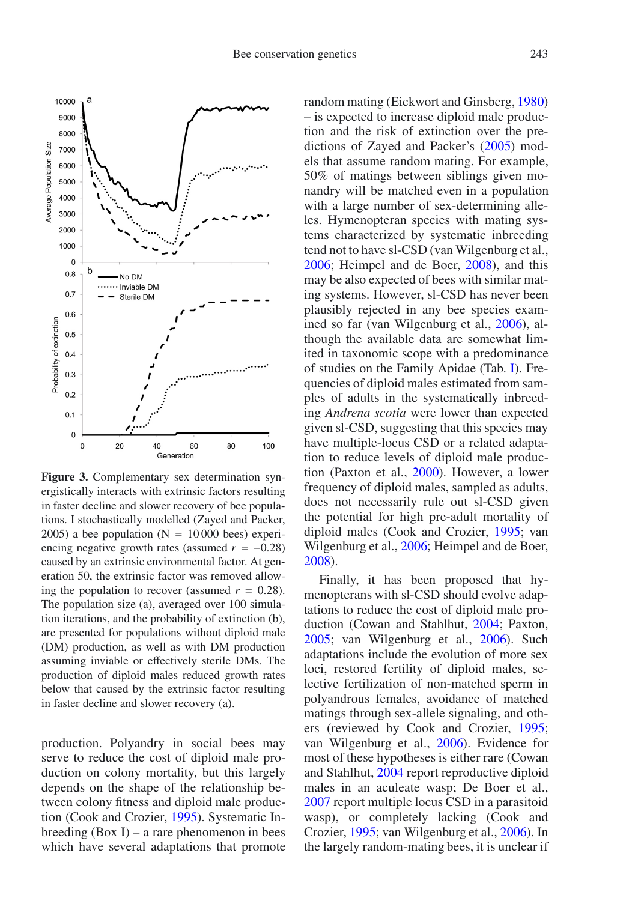

<span id="page-6-0"></span>....... Inviahle DM  $0.7$ - Sterile DM  $0.6$ Probability of extinction  $0.5$  $0.4$  $0.3$  $0.2$  $0.1$  $\overline{0}$  $\Omega$ 60 80 100  $20$ 40 Generation

**Average Population Size** 

**Figure 3.** Complementary sex determination synergistically interacts with extrinsic factors resulting in faster decline and slower recovery of bee populations. I stochastically modelled (Zayed and Packer,  $2005$ ) a bee population (N = 10000 bees) experiencing negative growth rates (assumed  $r = -0.28$ ) caused by an extrinsic environmental factor. At generation 50, the extrinsic factor was removed allowing the population to recover (assumed  $r = 0.28$ ). The population size (a), averaged over 100 simulation iterations, and the probability of extinction (b), are presented for populations without diploid male (DM) production, as well as with DM production assuming inviable or effectively sterile DMs. The production of diploid males reduced growth rates below that caused by the extrinsic factor resulting in faster decline and slower recovery (a).

production. Polyandry in social bees may serve to reduce the cost of diploid male production on colony mortality, but this largely depends on the shape of the relationship between colony fitness and diploid male production (Cook and Crozier, [1995\)](#page-19-7). Systematic Inbreeding  $(Box I)$  – a rare phenomenon in bees which have several adaptations that promote random mating (Eickwort and Ginsberg, [1980\)](#page-20-13) – is expected to increase diploid male production and the risk of extinction over the predictions of Zayed and Packer's [\(2005\)](#page-25-5) models that assume random mating. For example, 50% of matings between siblings given monandry will be matched even in a population with a large number of sex-determining alleles. Hymenopteran species with mating systems characterized by systematic inbreeding tend not to have sl-CSD (van Wilgenburg et al., [2006;](#page-24-4) Heimpel and de Boer, [2008\)](#page-21-11), and this may be also expected of bees with similar mating systems. However, sl-CSD has never been plausibly rejected in any bee species examined so far (van Wilgenburg et al., [2006](#page-24-4)), although the available data are somewhat limited in taxonomic scope with a predominance of studies on the Family Apidae (Tab. [I\)](#page-3-0). Frequencies of diploid males estimated from samples of adults in the systematically inbreeding *Andrena scotia* were lower than expected given sl-CSD, suggesting that this species may have multiple-locus CSD or a related adaptation to reduce levels of diploid male production (Paxton et al., [2000](#page-23-7)). However, a lower frequency of diploid males, sampled as adults, does not necessarily rule out sl-CSD given the potential for high pre-adult mortality of diploid males (Cook and Crozier, [1995;](#page-19-7) van Wilgenburg et al., [2006;](#page-24-4) Heimpel and de Boer, [2008\)](#page-21-11).

Finally, it has been proposed that hymenopterans with sl-CSD should evolve adaptations to reduce the cost of diploid male production (Cowan and Stahlhut, [2004](#page-19-6); Paxton, [2005;](#page-23-12) van Wilgenburg et al., [2006](#page-24-4)). Such adaptations include the evolution of more sex loci, restored fertility of diploid males, selective fertilization of non-matched sperm in polyandrous females, avoidance of matched matings through sex-allele signaling, and others (reviewed by Cook and Crozier, [1995](#page-19-7); van Wilgenburg et al., [2006\)](#page-24-4). Evidence for most of these hypotheses is either rare (Cowan and Stahlhut, [2004](#page-19-6) report reproductive diploid males in an aculeate wasp; De Boer et al., [2007](#page-20-16) report multiple locus CSD in a parasitoid wasp), or completely lacking (Cook and Crozier, [1995;](#page-19-7) van Wilgenburg et al., [2006\)](#page-24-4). In the largely random-mating bees, it is unclear if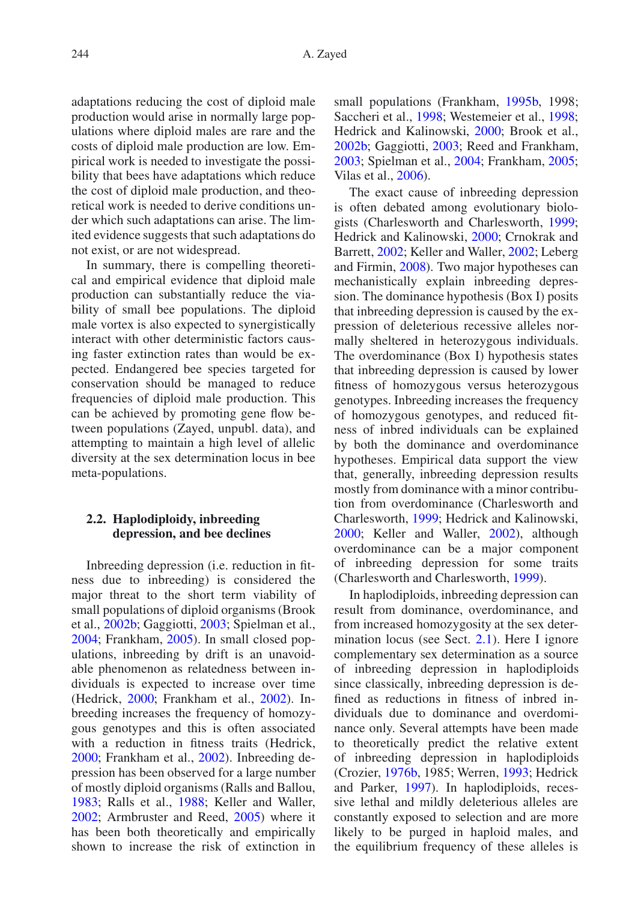adaptations reducing the cost of diploid male production would arise in normally large populations where diploid males are rare and the costs of diploid male production are low. Empirical work is needed to investigate the possibility that bees have adaptations which reduce the cost of diploid male production, and theoretical work is needed to derive conditions under which such adaptations can arise. The limited evidence suggests that such adaptations do not exist, or are not widespread.

In summary, there is compelling theoretical and empirical evidence that diploid male production can substantially reduce the viability of small bee populations. The diploid male vortex is also expected to synergistically interact with other deterministic factors causing faster extinction rates than would be expected. Endangered bee species targeted for conservation should be managed to reduce frequencies of diploid male production. This can be achieved by promoting gene flow between populations (Zayed, unpubl. data), and attempting to maintain a high level of allelic diversity at the sex determination locus in bee meta-populations.

### <span id="page-7-0"></span>**2.2. Haplodiploidy, inbreeding depression, and bee declines**

Inbreeding depression (i.e. reduction in fitness due to inbreeding) is considered the major threat to the short term viability of small populations of diploid organisms (Brook et al., [2002b](#page-19-12); Gaggiotti, [2003;](#page-20-4) Spielman et al., [2004;](#page-24-2) Frankham, [2005\)](#page-20-5). In small closed populations, inbreeding by drift is an unavoidable phenomenon as relatedness between individuals is expected to increase over time (Hedrick, [2000](#page-21-20); Frankham et al., [2002](#page-20-3)). Inbreeding increases the frequency of homozygous genotypes and this is often associated with a reduction in fitness traits (Hedrick, [2000;](#page-21-20) Frankham et al., [2002\)](#page-20-3). Inbreeding depression has been observed for a large number of mostly diploid organisms (Ralls and Ballou, [1983;](#page-23-14) Ralls et al., [1988;](#page-23-15) Keller and Waller, [2002;](#page-21-9) Armbruster and Reed, [2005\)](#page-18-7) where it has been both theoretically and empirically shown to increase the risk of extinction in

small populations (Frankham, [1995b,](#page-20-17) 1998; Saccheri et al., [1998](#page-24-1); Westemeier et al., [1998;](#page-25-9) Hedrick and Kalinowski, [2000](#page-21-21); Brook et al., [2002b](#page-19-12); Gaggiotti, [2003;](#page-20-4) Reed and Frankham, [2003](#page-23-16); Spielman et al., [2004;](#page-24-2) Frankham, [2005;](#page-20-5) Vilas et al., [2006\)](#page-24-11).

The exact cause of inbreeding depression is often debated among evolutionary biologists (Charlesworth and Charlesworth, [1999;](#page-19-14) Hedrick and Kalinowski, [2000;](#page-21-21) Crnokrak and Barrett, [2002;](#page-19-15) Keller and Waller, [2002;](#page-21-9) Leberg and Firmin, [2008\)](#page-22-4). Two major hypotheses can mechanistically explain inbreeding depression. The dominance hypothesis (Box I) posits that inbreeding depression is caused by the expression of deleterious recessive alleles normally sheltered in heterozygous individuals. The overdominance (Box I) hypothesis states that inbreeding depression is caused by lower fitness of homozygous versus heterozygous genotypes. Inbreeding increases the frequency of homozygous genotypes, and reduced fitness of inbred individuals can be explained by both the dominance and overdominance hypotheses. Empirical data support the view that, generally, inbreeding depression results mostly from dominance with a minor contribution from overdominance (Charlesworth and Charlesworth, [1999;](#page-19-14) Hedrick and Kalinowski, [2000](#page-21-21); Keller and Waller, [2002](#page-21-9)), although overdominance can be a major component of inbreeding depression for some traits (Charlesworth and Charlesworth, [1999](#page-19-14)).

In haplodiploids, inbreeding depression can result from dominance, overdominance, and from increased homozygosity at the sex determination locus (see Sect. [2.1\)](#page-1-1). Here I ignore complementary sex determination as a source of inbreeding depression in haplodiploids since classically, inbreeding depression is defined as reductions in fitness of inbred individuals due to dominance and overdominance only. Several attempts have been made to theoretically predict the relative extent of inbreeding depression in haplodiploids (Crozier, [1976b](#page-19-16), 1985; Werren, [1993](#page-24-12); Hedrick and Parker, [1997\)](#page-21-6). In haplodiploids, recessive lethal and mildly deleterious alleles are constantly exposed to selection and are more likely to be purged in haploid males, and the equilibrium frequency of these alleles is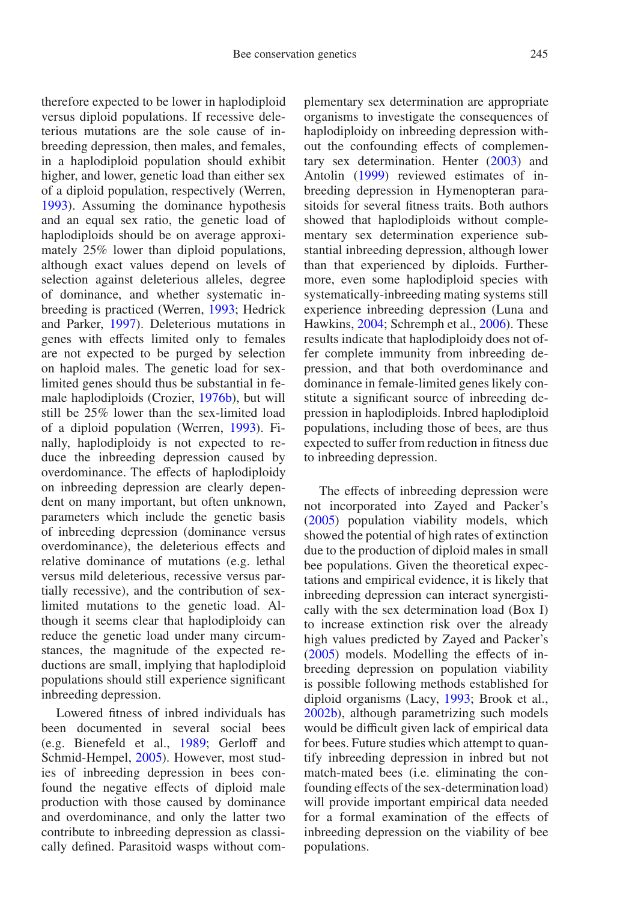therefore expected to be lower in haplodiploid versus diploid populations. If recessive deleterious mutations are the sole cause of inbreeding depression, then males, and females, in a haplodiploid population should exhibit higher, and lower, genetic load than either sex of a diploid population, respectively (Werren, [1993](#page-24-12)). Assuming the dominance hypothesis and an equal sex ratio, the genetic load of haplodiploids should be on average approximately 25% lower than diploid populations, although exact values depend on levels of selection against deleterious alleles, degree of dominance, and whether systematic inbreeding is practiced (Werren, [1993](#page-24-12); Hedrick and Parker, [1997\)](#page-21-6). Deleterious mutations in genes with effects limited only to females are not expected to be purged by selection on haploid males. The genetic load for sexlimited genes should thus be substantial in female haplodiploids (Crozier, [1976b\)](#page-19-16), but will still be 25% lower than the sex-limited load of a diploid population (Werren, [1993](#page-24-12)). Finally, haplodiploidy is not expected to reduce the inbreeding depression caused by overdominance. The effects of haplodiploidy on inbreeding depression are clearly dependent on many important, but often unknown, parameters which include the genetic basis of inbreeding depression (dominance versus overdominance), the deleterious effects and relative dominance of mutations (e.g. lethal versus mild deleterious, recessive versus partially recessive), and the contribution of sexlimited mutations to the genetic load. Although it seems clear that haplodiploidy can reduce the genetic load under many circumstances, the magnitude of the expected reductions are small, implying that haplodiploid populations should still experience significant inbreeding depression.

Lowered fitness of inbred individuals has been documented in several social bees (e.g. Bienefeld et al., [1989;](#page-18-8) Gerloff and Schmid-Hempel, [2005\)](#page-20-18). However, most studies of inbreeding depression in bees confound the negative effects of diploid male production with those caused by dominance and overdominance, and only the latter two contribute to inbreeding depression as classically defined. Parasitoid wasps without complementary sex determination are appropriate organisms to investigate the consequences of haplodiploidy on inbreeding depression without the confounding effects of complementary sex determination. Henter [\(2003](#page-21-22)) and Antolin [\(1999\)](#page-18-9) reviewed estimates of inbreeding depression in Hymenopteran parasitoids for several fitness traits. Both authors showed that haplodiploids without complementary sex determination experience substantial inbreeding depression, although lower than that experienced by diploids. Furthermore, even some haplodiploid species with systematically-inbreeding mating systems still experience inbreeding depression (Luna and Hawkins, [2004;](#page-22-13) Schremph et al., [2006\)](#page-24-13). These results indicate that haplodiploidy does not offer complete immunity from inbreeding depression, and that both overdominance and dominance in female-limited genes likely constitute a significant source of inbreeding depression in haplodiploids. Inbred haplodiploid populations, including those of bees, are thus expected to suffer from reduction in fitness due to inbreeding depression.

The effects of inbreeding depression were not incorporated into Zayed and Packer's [\(2005\)](#page-25-5) population viability models, which showed the potential of high rates of extinction due to the production of diploid males in small bee populations. Given the theoretical expectations and empirical evidence, it is likely that inbreeding depression can interact synergistically with the sex determination load (Box I) to increase extinction risk over the already high values predicted by Zayed and Packer's [\(2005\)](#page-25-5) models. Modelling the effects of inbreeding depression on population viability is possible following methods established for diploid organisms (Lacy, [1993](#page-22-14); Brook et al., [2002b\)](#page-19-12), although parametrizing such models would be difficult given lack of empirical data for bees. Future studies which attempt to quantify inbreeding depression in inbred but not match-mated bees (i.e. eliminating the confounding effects of the sex-determination load) will provide important empirical data needed for a formal examination of the effects of inbreeding depression on the viability of bee populations.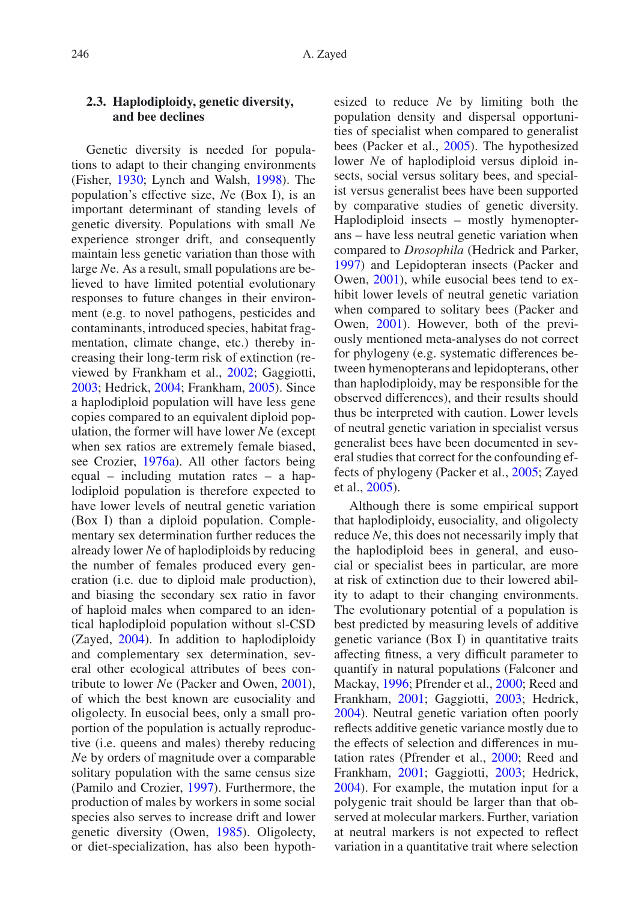## **2.3. Haplodiploidy, genetic diversity, and bee declines**

Genetic diversity is needed for populations to adapt to their changing environments (Fisher, [1930](#page-20-19); Lynch and Walsh, [1998\)](#page-22-15). The population's effective size, *N*e (Box I), is an important determinant of standing levels of genetic diversity. Populations with small *N*e experience stronger drift, and consequently maintain less genetic variation than those with large *N*e. As a result, small populations are believed to have limited potential evolutionary responses to future changes in their environment (e.g. to novel pathogens, pesticides and contaminants, introduced species, habitat fragmentation, climate change, etc.) thereby increasing their long-term risk of extinction (reviewed by Frankham et al., [2002;](#page-20-3) Gaggiotti, [2003;](#page-20-4) Hedrick, [2004;](#page-21-7) Frankham, [2005\)](#page-20-5). Since a haplodiploid population will have less gene copies compared to an equivalent diploid population, the former will have lower *N*e (except when sex ratios are extremely female biased, see Crozier, [1976a\)](#page-19-17). All other factors being equal – including mutation rates – a haplodiploid population is therefore expected to have lower levels of neutral genetic variation (Box I) than a diploid population. Complementary sex determination further reduces the already lower *N*e of haplodiploids by reducing the number of females produced every generation (i.e. due to diploid male production), and biasing the secondary sex ratio in favor of haploid males when compared to an identical haplodiploid population without sl-CSD (Zayed, [2004](#page-25-3)). In addition to haplodiploidy and complementary sex determination, several other ecological attributes of bees contribute to lower *N*e (Packer and Owen, [2001\)](#page-23-17), of which the best known are eusociality and oligolecty. In eusocial bees, only a small proportion of the population is actually reproductive (i.e. queens and males) thereby reducing *N*e by orders of magnitude over a comparable solitary population with the same census size (Pamilo and Crozier, [1997\)](#page-23-4). Furthermore, the production of males by workers in some social species also serves to increase drift and lower genetic diversity (Owen, [1985](#page-23-18)). Oligolecty, or diet-specialization, has also been hypothesized to reduce *N*e by limiting both the population density and dispersal opportunities of specialist when compared to generalist bees (Packer et al., [2005\)](#page-23-19). The hypothesized lower *N*e of haplodiploid versus diploid insects, social versus solitary bees, and specialist versus generalist bees have been supported by comparative studies of genetic diversity. Haplodiploid insects – mostly hymenopterans – have less neutral genetic variation when compared to *Drosophila* (Hedrick and Parker, [1997](#page-21-6)) and Lepidopteran insects (Packer and Owen, [2001\)](#page-23-17), while eusocial bees tend to exhibit lower levels of neutral genetic variation when compared to solitary bees (Packer and Owen, [2001\)](#page-23-17). However, both of the previously mentioned meta-analyses do not correct for phylogeny (e.g. systematic differences between hymenopterans and lepidopterans, other than haplodiploidy, may be responsible for the observed differences), and their results should thus be interpreted with caution. Lower levels of neutral genetic variation in specialist versus generalist bees have been documented in several studies that correct for the confounding effects of phylogeny (Packer et al., [2005;](#page-23-19) Zayed et al., [2005\)](#page-25-10).

Although there is some empirical support that haplodiploidy, eusociality, and oligolecty reduce *N*e, this does not necessarily imply that the haplodiploid bees in general, and eusocial or specialist bees in particular, are more at risk of extinction due to their lowered ability to adapt to their changing environments. The evolutionary potential of a population is best predicted by measuring levels of additive genetic variance (Box I) in quantitative traits affecting fitness, a very difficult parameter to quantify in natural populations (Falconer and Mackay, [1996;](#page-20-20) Pfrender et al., [2000](#page-23-20); Reed and Frankham, [2001;](#page-23-21) Gaggiotti, [2003;](#page-20-4) Hedrick, [2004](#page-21-7)). Neutral genetic variation often poorly reflects additive genetic variance mostly due to the effects of selection and differences in mutation rates (Pfrender et al., [2000;](#page-23-20) Reed and Frankham, [2001;](#page-23-21) Gaggiotti, [2003;](#page-20-4) Hedrick, [2004](#page-21-7)). For example, the mutation input for a polygenic trait should be larger than that observed at molecular markers. Further, variation at neutral markers is not expected to reflect variation in a quantitative trait where selection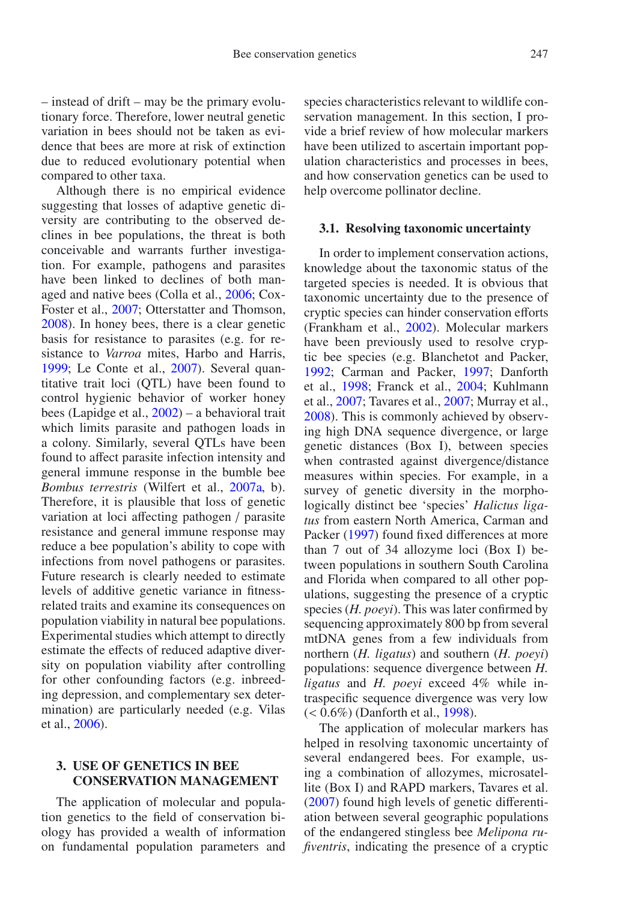– instead of drift – may be the primary evolutionary force. Therefore, lower neutral genetic variation in bees should not be taken as evidence that bees are more at risk of extinction due to reduced evolutionary potential when compared to other taxa.

Although there is no empirical evidence suggesting that losses of adaptive genetic diversity are contributing to the observed declines in bee populations, the threat is both conceivable and warrants further investigation. For example, pathogens and parasites have been linked to declines of both managed and native bees (Colla et al., [2006;](#page-19-18) Cox-Foster et al., [2007;](#page-19-19) Otterstatter and Thomson, [2008](#page-23-22)). In honey bees, there is a clear genetic basis for resistance to parasites (e.g. for resistance to *Varroa* mites, Harbo and Harris, [1999](#page-21-23); Le Conte et al., [2007\)](#page-22-16). Several quantitative trait loci (QTL) have been found to control hygienic behavior of worker honey bees (Lapidge et al., [2002\)](#page-22-17) – a behavioral trait which limits parasite and pathogen loads in a colony. Similarly, several QTLs have been found to affect parasite infection intensity and general immune response in the bumble bee *Bombus terrestris* (Wilfert et al., [2007a,](#page-25-11) b). Therefore, it is plausible that loss of genetic variation at loci affecting pathogen / parasite resistance and general immune response may reduce a bee population's ability to cope with infections from novel pathogens or parasites. Future research is clearly needed to estimate levels of additive genetic variance in fitnessrelated traits and examine its consequences on population viability in natural bee populations. Experimental studies which attempt to directly estimate the effects of reduced adaptive diversity on population viability after controlling for other confounding factors (e.g. inbreeding depression, and complementary sex determination) are particularly needed (e.g. Vilas et al., [2006\)](#page-24-11).

#### **3. USE OF GENETICS IN BEE CONSERVATION MANAGEMENT**

<span id="page-10-0"></span>The application of molecular and population genetics to the field of conservation biology has provided a wealth of information on fundamental population parameters and species characteristics relevant to wildlife conservation management. In this section, I provide a brief review of how molecular markers have been utilized to ascertain important population characteristics and processes in bees, and how conservation genetics can be used to help overcome pollinator decline.

#### **3.1. Resolving taxonomic uncertainty**

<span id="page-10-1"></span>In order to implement conservation actions, knowledge about the taxonomic status of the targeted species is needed. It is obvious that taxonomic uncertainty due to the presence of cryptic species can hinder conservation efforts (Frankham et al., [2002](#page-20-3)). Molecular markers have been previously used to resolve cryptic bee species (e.g. Blanchetot and Packer, [1992;](#page-18-10) Carman and Packer, [1997;](#page-19-20) Danforth et al., [1998;](#page-19-21) Franck et al., [2004;](#page-20-21) Kuhlmann et al., [2007;](#page-22-18) Tavares et al., [2007;](#page-24-14) Murray et al., [2008\)](#page-22-19). This is commonly achieved by observing high DNA sequence divergence, or large genetic distances (Box I), between species when contrasted against divergence/distance measures within species. For example, in a survey of genetic diversity in the morphologically distinct bee 'species' *Halictus ligatus* from eastern North America, Carman and Packer [\(1997\)](#page-19-20) found fixed differences at more than 7 out of 34 allozyme loci (Box I) between populations in southern South Carolina and Florida when compared to all other populations, suggesting the presence of a cryptic species (*H. poeyi*). This was later confirmed by sequencing approximately 800 bp from several mtDNA genes from a few individuals from northern (*H. ligatus*) and southern (*H. poeyi*) populations: sequence divergence between *H. ligatus* and *H. poeyi* exceed 4% while intraspecific sequence divergence was very low (< 0.6%) (Danforth et al., [1998\)](#page-19-21).

The application of molecular markers has helped in resolving taxonomic uncertainty of several endangered bees. For example, using a combination of allozymes, microsatellite (Box I) and RAPD markers, Tavares et al. [\(2007\)](#page-24-14) found high levels of genetic differentiation between several geographic populations of the endangered stingless bee *Melipona rufiventris*, indicating the presence of a cryptic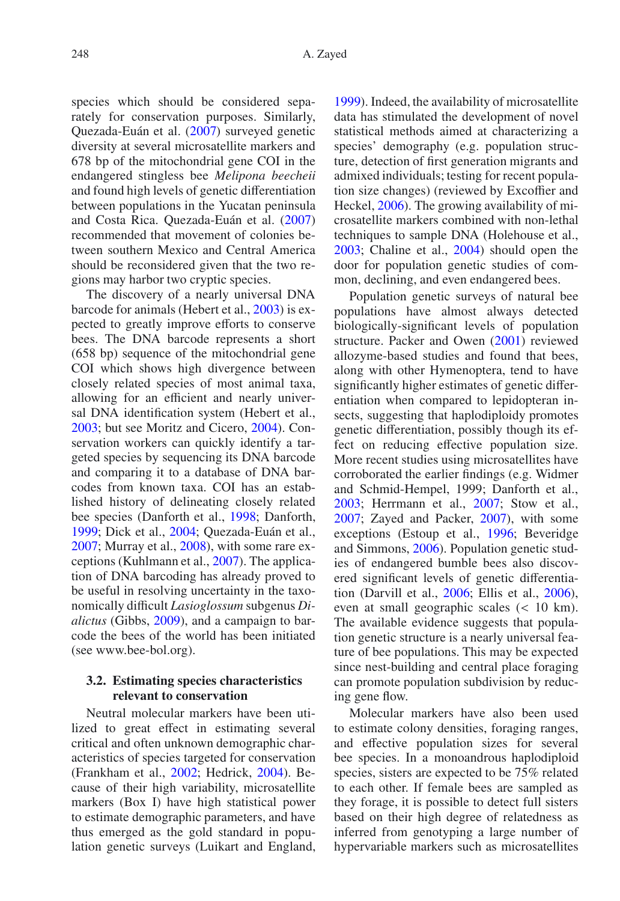species which should be considered separately for conservation purposes. Similarly, Quezada-Euán et al. [\(2007\)](#page-23-23) surveyed genetic diversity at several microsatellite markers and 678 bp of the mitochondrial gene COI in the endangered stingless bee *Melipona beecheii* and found high levels of genetic differentiation between populations in the Yucatan peninsula and Costa Rica. Quezada-Euán et al. [\(2007\)](#page-23-23) recommended that movement of colonies between southern Mexico and Central America should be reconsidered given that the two regions may harbor two cryptic species.

The discovery of a nearly universal DNA barcode for animals (Hebert et al., [2003](#page-21-24)) is expected to greatly improve efforts to conserve bees. The DNA barcode represents a short (658 bp) sequence of the mitochondrial gene COI which shows high divergence between closely related species of most animal taxa, allowing for an efficient and nearly universal DNA identification system (Hebert et al., [2003;](#page-21-24) but see Moritz and Cicero, [2004\)](#page-22-20). Conservation workers can quickly identify a targeted species by sequencing its DNA barcode and comparing it to a database of DNA barcodes from known taxa. COI has an established history of delineating closely related bee species (Danforth et al., [1998](#page-19-21); Danforth, [1999;](#page-19-22) Dick et al., [2004;](#page-20-22) Quezada-Euán et al., [2007;](#page-23-23) Murray et al., [2008\)](#page-22-19), with some rare exceptions (Kuhlmann et al., [2007\)](#page-22-18). The application of DNA barcoding has already proved to be useful in resolving uncertainty in the taxonomically difficult *Lasioglossum* subgenus *Dialictus* (Gibbs, [2009](#page-20-23)), and a campaign to barcode the bees of the world has been initiated (see www.bee-bol.org).

#### **3.2. Estimating species characteristics relevant to conservation**

<span id="page-11-0"></span>Neutral molecular markers have been utilized to great effect in estimating several critical and often unknown demographic characteristics of species targeted for conservation (Frankham et al., [2002;](#page-20-3) Hedrick, [2004\)](#page-21-7). Because of their high variability, microsatellite markers (Box I) have high statistical power to estimate demographic parameters, and have thus emerged as the gold standard in population genetic surveys (Luikart and England,

[1999](#page-22-21)). Indeed, the availability of microsatellite data has stimulated the development of novel statistical methods aimed at characterizing a species' demography (e.g. population structure, detection of first generation migrants and admixed individuals; testing for recent population size changes) (reviewed by Excoffier and Heckel, [2006\)](#page-20-24). The growing availability of microsatellite markers combined with non-lethal techniques to sample DNA (Holehouse et al., [2003](#page-21-25); Chaline et al., [2004\)](#page-19-23) should open the door for population genetic studies of common, declining, and even endangered bees.

Population genetic surveys of natural bee populations have almost always detected biologically-significant levels of population structure. Packer and Owen [\(2001\)](#page-23-17) reviewed allozyme-based studies and found that bees, along with other Hymenoptera, tend to have significantly higher estimates of genetic differentiation when compared to lepidopteran insects, suggesting that haplodiploidy promotes genetic differentiation, possibly though its effect on reducing effective population size. More recent studies using microsatellites have corroborated the earlier findings (e.g. Widmer and Schmid-Hempel, 1999; Danforth et al., [2003](#page-19-24); Herrmann et al., [2007;](#page-21-26) Stow et al., [2007](#page-24-15); Zayed and Packer, [2007\)](#page-25-1), with some exceptions (Estoup et al., [1996;](#page-20-25) Beveridge and Simmons, [2006\)](#page-18-11). Population genetic studies of endangered bumble bees also discovered significant levels of genetic differentiation (Darvill et al., [2006;](#page-20-8) Ellis et al., [2006\)](#page-20-9), even at small geographic scales (< 10 km). The available evidence suggests that population genetic structure is a nearly universal feature of bee populations. This may be expected since nest-building and central place foraging can promote population subdivision by reducing gene flow.

Molecular markers have also been used to estimate colony densities, foraging ranges, and effective population sizes for several bee species. In a monoandrous haplodiploid species, sisters are expected to be 75% related to each other. If female bees are sampled as they forage, it is possible to detect full sisters based on their high degree of relatedness as inferred from genotyping a large number of hypervariable markers such as microsatellites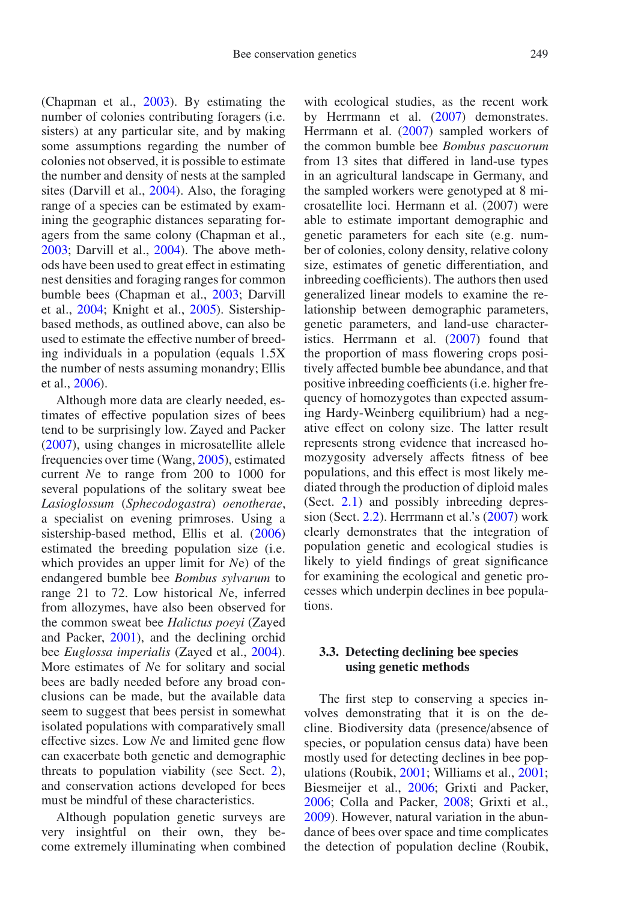(Chapman et al., [2003](#page-19-25)). By estimating the number of colonies contributing foragers (i.e. sisters) at any particular site, and by making some assumptions regarding the number of colonies not observed, it is possible to estimate the number and density of nests at the sampled sites (Darvill et al., [2004\)](#page-20-26). Also, the foraging range of a species can be estimated by examining the geographic distances separating foragers from the same colony (Chapman et al., [2003](#page-19-25); Darvill et al., [2004](#page-20-26)). The above methods have been used to great effect in estimating nest densities and foraging ranges for common bumble bees (Chapman et al., [2003](#page-19-25); Darvill et al., [2004](#page-20-26); Knight et al., [2005](#page-21-27)). Sistershipbased methods, as outlined above, can also be used to estimate the effective number of breeding individuals in a population (equals 1.5X the number of nests assuming monandry; Ellis et al., [2006\)](#page-20-9).

Although more data are clearly needed, estimates of effective population sizes of bees tend to be surprisingly low. Zayed and Packer [\(2007\)](#page-25-1), using changes in microsatellite allele frequencies over time (Wang, [2005\)](#page-24-16), estimated current *N*e to range from 200 to 1000 for several populations of the solitary sweat bee *Lasioglossum* (*Sphecodogastra*) *oenotherae*, a specialist on evening primroses. Using a sistership-based method, Ellis et al. [\(2006](#page-20-9)) estimated the breeding population size (i.e. which provides an upper limit for *N*e) of the endangered bumble bee *Bombus sylvarum* to range 21 to 72. Low historical *N*e, inferred from allozymes, have also been observed for the common sweat bee *Halictus poeyi* (Zayed and Packer, [2001](#page-25-0)), and the declining orchid bee *Euglossa imperialis* (Zayed et al., [2004\)](#page-25-7). More estimates of *N*e for solitary and social bees are badly needed before any broad conclusions can be made, but the available data seem to suggest that bees persist in somewhat isolated populations with comparatively small effective sizes. Low *N*e and limited gene flow can exacerbate both genetic and demographic threats to population viability (see Sect. [2\)](#page-1-0), and conservation actions developed for bees must be mindful of these characteristics.

Although population genetic surveys are very insightful on their own, they become extremely illuminating when combined with ecological studies, as the recent work by Herrmann et al. [\(2007\)](#page-21-26) demonstrates. Herrmann et al. [\(2007\)](#page-21-26) sampled workers of the common bumble bee *Bombus pascuorum* from 13 sites that differed in land-use types in an agricultural landscape in Germany, and the sampled workers were genotyped at 8 microsatellite loci. Hermann et al. (2007) were able to estimate important demographic and genetic parameters for each site (e.g. number of colonies, colony density, relative colony size, estimates of genetic differentiation, and inbreeding coefficients). The authors then used generalized linear models to examine the relationship between demographic parameters, genetic parameters, and land-use characteristics. Herrmann et al. [\(2007\)](#page-21-26) found that the proportion of mass flowering crops positively affected bumble bee abundance, and that positive inbreeding coefficients (i.e. higher frequency of homozygotes than expected assuming Hardy-Weinberg equilibrium) had a negative effect on colony size. The latter result represents strong evidence that increased homozygosity adversely affects fitness of bee populations, and this effect is most likely mediated through the production of diploid males (Sect. [2.1\)](#page-1-1) and possibly inbreeding depression (Sect. [2.2\)](#page-7-0). Herrmann et al.'s [\(2007\)](#page-21-26) work clearly demonstrates that the integration of population genetic and ecological studies is likely to yield findings of great significance for examining the ecological and genetic processes which underpin declines in bee populations.

#### **3.3. Detecting declining bee species using genetic methods**

The first step to conserving a species involves demonstrating that it is on the decline. Biodiversity data (presence/absence of species, or population census data) have been mostly used for detecting declines in bee populations (Roubik, [2001;](#page-23-24) Williams et al., [2001](#page-25-12); Biesmeijer et al., [2006;](#page-18-1) Grixti and Packer, [2006;](#page-21-28) Colla and Packer, [2008;](#page-19-0) Grixti et al., [2009\)](#page-21-3). However, natural variation in the abundance of bees over space and time complicates the detection of population decline (Roubik,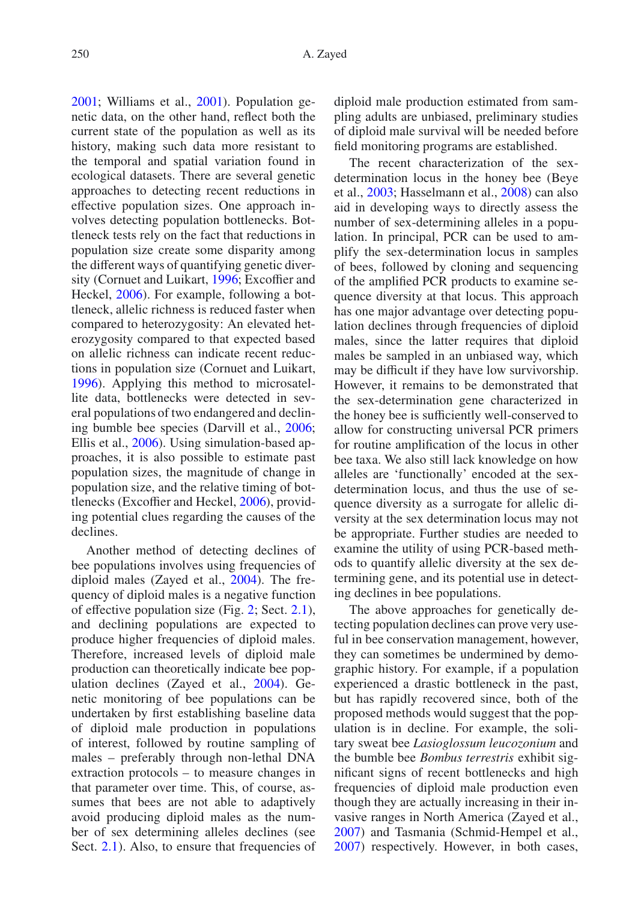[2001;](#page-23-24) Williams et al., [2001](#page-25-12)). Population genetic data, on the other hand, reflect both the current state of the population as well as its history, making such data more resistant to the temporal and spatial variation found in ecological datasets. There are several genetic approaches to detecting recent reductions in effective population sizes. One approach involves detecting population bottlenecks. Bottleneck tests rely on the fact that reductions in population size create some disparity among the different ways of quantifying genetic diversity (Cornuet and Luikart, [1996;](#page-19-26) Excoffier and Heckel, [2006\)](#page-20-24). For example, following a bottleneck, allelic richness is reduced faster when compared to heterozygosity: An elevated heterozygosity compared to that expected based on allelic richness can indicate recent reductions in population size (Cornuet and Luikart, [1996\)](#page-19-26). Applying this method to microsatellite data, bottlenecks were detected in several populations of two endangered and declining bumble bee species (Darvill et al., [2006;](#page-20-8) Ellis et al., [2006\)](#page-20-9). Using simulation-based approaches, it is also possible to estimate past population sizes, the magnitude of change in population size, and the relative timing of bottlenecks (Excoffier and Heckel, [2006\)](#page-20-24), providing potential clues regarding the causes of the declines.

Another method of detecting declines of bee populations involves using frequencies of diploid males (Zayed et al., [2004\)](#page-25-7). The frequency of diploid males is a negative function of effective population size (Fig. [2;](#page-4-0) Sect. [2.1\)](#page-1-1), and declining populations are expected to produce higher frequencies of diploid males. Therefore, increased levels of diploid male production can theoretically indicate bee population declines (Zayed et al., [2004\)](#page-25-7). Genetic monitoring of bee populations can be undertaken by first establishing baseline data of diploid male production in populations of interest, followed by routine sampling of males – preferably through non-lethal DNA extraction protocols – to measure changes in that parameter over time. This, of course, assumes that bees are not able to adaptively avoid producing diploid males as the number of sex determining alleles declines (see Sect. [2.1\)](#page-1-1). Also, to ensure that frequencies of

diploid male production estimated from sampling adults are unbiased, preliminary studies of diploid male survival will be needed before field monitoring programs are established.

The recent characterization of the sexdetermination locus in the honey bee (Beye et al., [2003;](#page-18-2) Hasselmann et al., [2008](#page-21-29)) can also aid in developing ways to directly assess the number of sex-determining alleles in a population. In principal, PCR can be used to amplify the sex-determination locus in samples of bees, followed by cloning and sequencing of the amplified PCR products to examine sequence diversity at that locus. This approach has one major advantage over detecting population declines through frequencies of diploid males, since the latter requires that diploid males be sampled in an unbiased way, which may be difficult if they have low survivorship. However, it remains to be demonstrated that the sex-determination gene characterized in the honey bee is sufficiently well-conserved to allow for constructing universal PCR primers for routine amplification of the locus in other bee taxa. We also still lack knowledge on how alleles are 'functionally' encoded at the sexdetermination locus, and thus the use of sequence diversity as a surrogate for allelic diversity at the sex determination locus may not be appropriate. Further studies are needed to examine the utility of using PCR-based methods to quantify allelic diversity at the sex determining gene, and its potential use in detecting declines in bee populations.

The above approaches for genetically detecting population declines can prove very useful in bee conservation management, however, they can sometimes be undermined by demographic history. For example, if a population experienced a drastic bottleneck in the past, but has rapidly recovered since, both of the proposed methods would suggest that the population is in decline. For example, the solitary sweat bee *Lasioglossum leucozonium* and the bumble bee *Bombus terrestris* exhibit significant signs of recent bottlenecks and high frequencies of diploid male production even though they are actually increasing in their invasive ranges in North America (Zayed et al., [2007](#page-25-13)) and Tasmania (Schmid-Hempel et al., [2007](#page-24-17)) respectively. However, in both cases,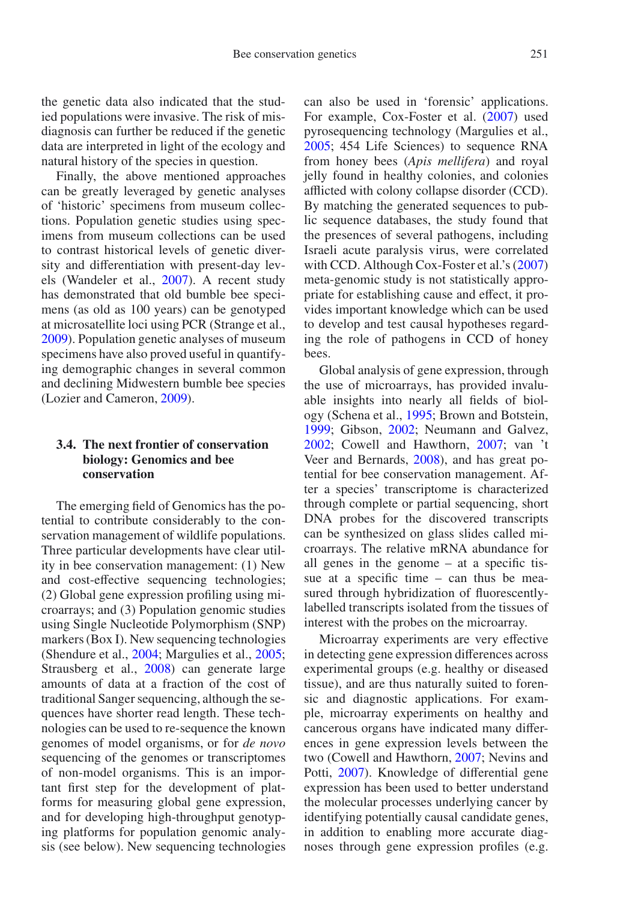the genetic data also indicated that the studied populations were invasive. The risk of misdiagnosis can further be reduced if the genetic data are interpreted in light of the ecology and natural history of the species in question.

Finally, the above mentioned approaches can be greatly leveraged by genetic analyses of 'historic' specimens from museum collections. Population genetic studies using specimens from museum collections can be used to contrast historical levels of genetic diversity and differentiation with present-day levels (Wandeler et al., [2007](#page-24-18)). A recent study has demonstrated that old bumble bee specimens (as old as 100 years) can be genotyped at microsatellite loci using PCR (Strange et al., [2009](#page-24-19)). Population genetic analyses of museum specimens have also proved useful in quantifying demographic changes in several common and declining Midwestern bumble bee species (Lozier and Cameron, [2009](#page-22-22)).

## **3.4. The next frontier of conservation biology: Genomics and bee conservation**

The emerging field of Genomics has the potential to contribute considerably to the conservation management of wildlife populations. Three particular developments have clear utility in bee conservation management: (1) New and cost-effective sequencing technologies; (2) Global gene expression profiling using microarrays; and (3) Population genomic studies using Single Nucleotide Polymorphism (SNP) markers (Box I). New sequencing technologies (Shendure et al., [2004;](#page-24-20) Margulies et al., [2005;](#page-22-23) Strausberg et al., [2008\)](#page-24-21) can generate large amounts of data at a fraction of the cost of traditional Sanger sequencing, although the sequences have shorter read length. These technologies can be used to re-sequence the known genomes of model organisms, or for *de novo* sequencing of the genomes or transcriptomes of non-model organisms. This is an important first step for the development of platforms for measuring global gene expression, and for developing high-throughput genotyping platforms for population genomic analysis (see below). New sequencing technologies can also be used in 'forensic' applications. For example, Cox-Foster et al. [\(2007\)](#page-19-19) used pyrosequencing technology (Margulies et al., [2005;](#page-22-23) 454 Life Sciences) to sequence RNA from honey bees (*Apis mellifera*) and royal jelly found in healthy colonies, and colonies afflicted with colony collapse disorder (CCD). By matching the generated sequences to public sequence databases, the study found that the presences of several pathogens, including Israeli acute paralysis virus, were correlated with CCD. Although Cox-Foster et al.'s [\(2007\)](#page-19-19) meta-genomic study is not statistically appropriate for establishing cause and effect, it provides important knowledge which can be used to develop and test causal hypotheses regarding the role of pathogens in CCD of honey bees.

Global analysis of gene expression, through the use of microarrays, has provided invaluable insights into nearly all fields of biology (Schena et al., [1995;](#page-24-22) Brown and Botstein, [1999;](#page-19-27) Gibson, [2002](#page-20-27); Neumann and Galvez, [2002;](#page-23-25) Cowell and Hawthorn, [2007;](#page-19-28) van 't Veer and Bernards, [2008](#page-24-23)), and has great potential for bee conservation management. After a species' transcriptome is characterized through complete or partial sequencing, short DNA probes for the discovered transcripts can be synthesized on glass slides called microarrays. The relative mRNA abundance for all genes in the genome – at a specific tissue at a specific time – can thus be measured through hybridization of fluorescentlylabelled transcripts isolated from the tissues of interest with the probes on the microarray.

Microarray experiments are very effective in detecting gene expression differences across experimental groups (e.g. healthy or diseased tissue), and are thus naturally suited to forensic and diagnostic applications. For example, microarray experiments on healthy and cancerous organs have indicated many differences in gene expression levels between the two (Cowell and Hawthorn, [2007;](#page-19-28) Nevins and Potti, [2007](#page-23-26)). Knowledge of differential gene expression has been used to better understand the molecular processes underlying cancer by identifying potentially causal candidate genes, in addition to enabling more accurate diagnoses through gene expression profiles (e.g.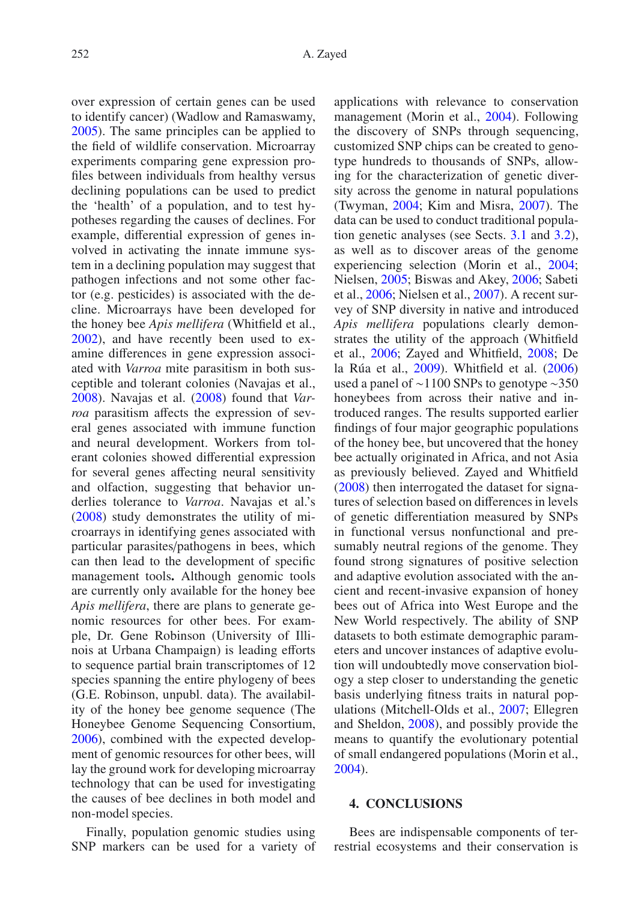over expression of certain genes can be used to identify cancer) (Wadlow and Ramaswamy, [2005\)](#page-24-24). The same principles can be applied to the field of wildlife conservation. Microarray experiments comparing gene expression profiles between individuals from healthy versus declining populations can be used to predict the 'health' of a population, and to test hypotheses regarding the causes of declines. For example, differential expression of genes involved in activating the innate immune system in a declining population may suggest that pathogen infections and not some other factor (e.g. pesticides) is associated with the decline. Microarrays have been developed for the honey bee *Apis mellifera* (Whitfield et al., [2002\)](#page-25-14), and have recently been used to examine differences in gene expression associated with *Varroa* mite parasitism in both susceptible and tolerant colonies (Navajas et al., [2008\)](#page-23-27). Navajas et al. [\(2008\)](#page-23-27) found that *Varroa* parasitism affects the expression of several genes associated with immune function and neural development. Workers from tolerant colonies showed differential expression for several genes affecting neural sensitivity and olfaction, suggesting that behavior underlies tolerance to *Varroa*. Navajas et al.'s [\(2008](#page-23-27)) study demonstrates the utility of microarrays in identifying genes associated with particular parasites/pathogens in bees, which can then lead to the development of specific management tools**.** Although genomic tools are currently only available for the honey bee *Apis mellifera*, there are plans to generate genomic resources for other bees. For example, Dr. Gene Robinson (University of Illinois at Urbana Champaign) is leading efforts to sequence partial brain transcriptomes of 12 species spanning the entire phylogeny of bees (G.E. Robinson, unpubl. data). The availability of the honey bee genome sequence (The Honeybee Genome Sequencing Consortium, [2006\)](#page-24-25), combined with the expected development of genomic resources for other bees, will lay the ground work for developing microarray technology that can be used for investigating the causes of bee declines in both model and non-model species.

Finally, population genomic studies using SNP markers can be used for a variety of

applications with relevance to conservation management (Morin et al., [2004\)](#page-22-24). Following the discovery of SNPs through sequencing, customized SNP chips can be created to genotype hundreds to thousands of SNPs, allowing for the characterization of genetic diversity across the genome in natural populations (Twyman, [2004;](#page-24-26) Kim and Misra, [2007\)](#page-21-30). The data can be used to conduct traditional population genetic analyses (see Sects. [3.1](#page-10-1) and [3.2\)](#page-11-0), as well as to discover areas of the genome experiencing selection (Morin et al., [2004;](#page-22-24) Nielsen, [2005;](#page-23-28) Biswas and Akey, [2006;](#page-18-12) Sabeti et al., [2006](#page-24-27); Nielsen et al., [2007\)](#page-23-29). A recent survey of SNP diversity in native and introduced *Apis mellifera* populations clearly demonstrates the utility of the approach (Whitfield et al., [2006;](#page-25-15) Zayed and Whitfield, [2008](#page-25-16); De la Rúa et al., [2009\)](#page-20-28). Whitfield et al. [\(2006](#page-25-15)) used a panel of ∼1100 SNPs to genotype ∼350 honeybees from across their native and introduced ranges. The results supported earlier findings of four major geographic populations of the honey bee, but uncovered that the honey bee actually originated in Africa, and not Asia as previously believed. Zayed and Whitfield [\(2008\)](#page-25-16) then interrogated the dataset for signatures of selection based on differences in levels of genetic differentiation measured by SNPs in functional versus nonfunctional and presumably neutral regions of the genome. They found strong signatures of positive selection and adaptive evolution associated with the ancient and recent-invasive expansion of honey bees out of Africa into West Europe and the New World respectively. The ability of SNP datasets to both estimate demographic parameters and uncover instances of adaptive evolution will undoubtedly move conservation biology a step closer to understanding the genetic basis underlying fitness traits in natural populations (Mitchell-Olds et al., [2007;](#page-22-25) Ellegren and Sheldon, [2008](#page-20-29)), and possibly provide the means to quantify the evolutionary potential of small endangered populations (Morin et al., [2004](#page-22-24)).

#### **4. CONCLUSIONS**

Bees are indispensable components of terrestrial ecosystems and their conservation is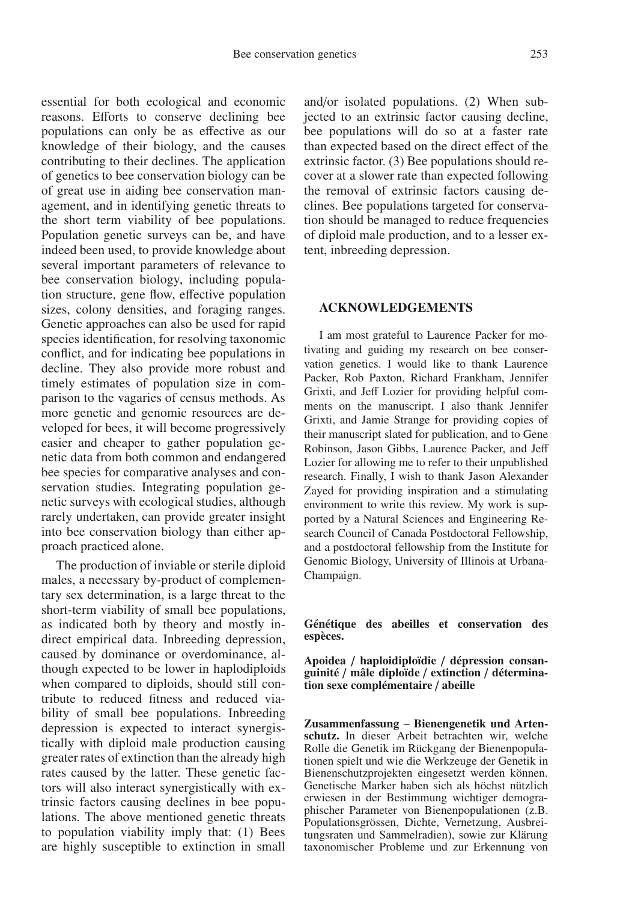essential for both ecological and economic reasons. Efforts to conserve declining bee populations can only be as effective as our knowledge of their biology, and the causes contributing to their declines. The application of genetics to bee conservation biology can be of great use in aiding bee conservation management, and in identifying genetic threats to the short term viability of bee populations. Population genetic surveys can be, and have indeed been used, to provide knowledge about several important parameters of relevance to

bee conservation biology, including population structure, gene flow, effective population sizes, colony densities, and foraging ranges. Genetic approaches can also be used for rapid species identification, for resolving taxonomic conflict, and for indicating bee populations in decline. They also provide more robust and timely estimates of population size in comparison to the vagaries of census methods. As more genetic and genomic resources are developed for bees, it will become progressively easier and cheaper to gather population genetic data from both common and endangered bee species for comparative analyses and conservation studies. Integrating population genetic surveys with ecological studies, although rarely undertaken, can provide greater insight into bee conservation biology than either approach practiced alone.

The production of inviable or sterile diploid males, a necessary by-product of complementary sex determination, is a large threat to the short-term viability of small bee populations, as indicated both by theory and mostly indirect empirical data. Inbreeding depression, caused by dominance or overdominance, although expected to be lower in haplodiploids when compared to diploids, should still contribute to reduced fitness and reduced viability of small bee populations. Inbreeding depression is expected to interact synergistically with diploid male production causing greater rates of extinction than the already high rates caused by the latter. These genetic factors will also interact synergistically with extrinsic factors causing declines in bee populations. The above mentioned genetic threats to population viability imply that: (1) Bees are highly susceptible to extinction in small and/or isolated populations. (2) When subjected to an extrinsic factor causing decline, bee populations will do so at a faster rate than expected based on the direct effect of the extrinsic factor. (3) Bee populations should recover at a slower rate than expected following the removal of extrinsic factors causing declines. Bee populations targeted for conservation should be managed to reduce frequencies of diploid male production, and to a lesser extent, inbreeding depression.

## **ACKNOWLEDGEMENTS**

I am most grateful to Laurence Packer for motivating and guiding my research on bee conservation genetics. I would like to thank Laurence Packer, Rob Paxton, Richard Frankham, Jennifer Grixti, and Jeff Lozier for providing helpful comments on the manuscript. I also thank Jennifer Grixti, and Jamie Strange for providing copies of their manuscript slated for publication, and to Gene Robinson, Jason Gibbs, Laurence Packer, and Jeff Lozier for allowing me to refer to their unpublished research. Finally, I wish to thank Jason Alexander Zayed for providing inspiration and a stimulating environment to write this review. My work is supported by a Natural Sciences and Engineering Research Council of Canada Postdoctoral Fellowship, and a postdoctoral fellowship from the Institute for Genomic Biology, University of Illinois at Urbana-Champaign.

#### **Génétique des abeilles et conservation des espèces.**

**Apoidea** / **haploidiploïdie** / **dépression consanguinité** / **mâle diploïde** / **extinction** / **détermination sexe complémentaire** / **abeille**

**Zusammenfassung** – **Bienengenetik und Artenschutz.** In dieser Arbeit betrachten wir, welche Rolle die Genetik im Rückgang der Bienenpopulationen spielt und wie die Werkzeuge der Genetik in Bienenschutzprojekten eingesetzt werden können. Genetische Marker haben sich als höchst nützlich erwiesen in der Bestimmung wichtiger demographischer Parameter von Bienenpopulationen (z.B. Populationsgrössen, Dichte, Vernetzung, Ausbreitungsraten und Sammelradien), sowie zur Klärung taxonomischer Probleme und zur Erkennung von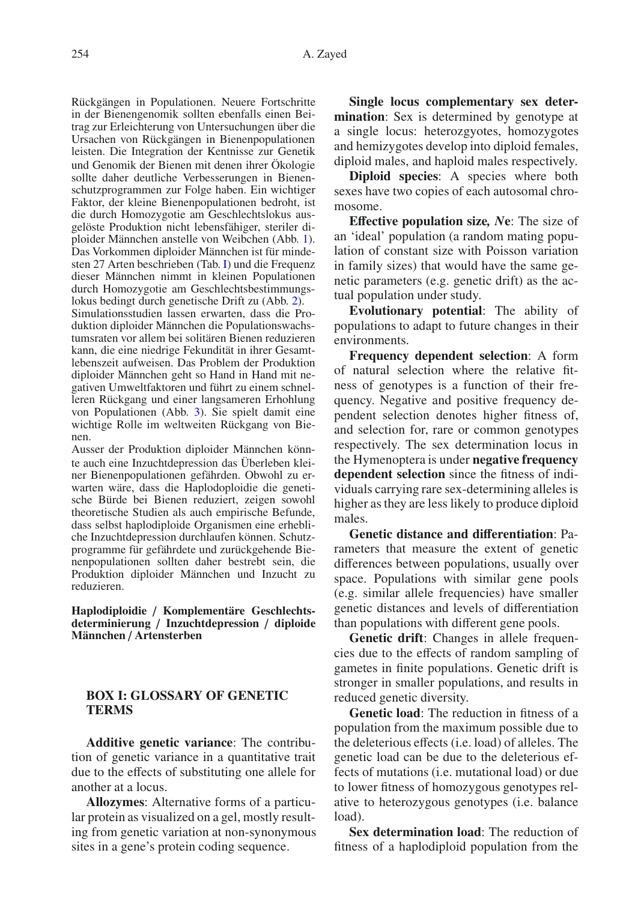Rückgängen in Populationen. Neuere Fortschritte in der Bienengenomik sollten ebenfalls einen Beitrag zur Erleichterung von Untersuchungen über die Ursachen von Rückgängen in Bienenpopulationen leisten. Die Integration der Kentnisse zur Genetik und Genomik der Bienen mit denen ihrer Ökologie sollte daher deutliche Verbesserungen in Bienenschutzprogrammen zur Folge haben. Ein wichtiger Faktor, der kleine Bienenpopulationen bedroht, ist die durch Homozygotie am Geschlechtslokus ausgelöste Produktion nicht lebensfähiger, steriler diploider Männchen anstelle von Weibchen (Abb. [1\)](#page-2-0). Das Vorkommen diploider Männchen ist für mindesten 27 Arten beschrieben (Tab. [I\)](#page-3-0) und die Frequenz dieser Männchen nimmt in kleinen Populationen durch Homozygotie am Geschlechtsbestimmungslokus bedingt durch genetische Drift zu (Abb. [2\)](#page-4-0). Simulationsstudien lassen erwarten, dass die Produktion diploider Männchen die Populationswachstumsraten vor allem bei solitären Bienen reduzieren kann, die eine niedrige Fekundität in ihrer Gesamtlebenszeit aufweisen. Das Problem der Produktion diploider Männchen geht so Hand in Hand mit negativen Umweltfaktoren und führt zu einem schnelleren Rückgang und einer langsameren Erhohlung von Populationen (Abb. [3\)](#page-6-0). Sie spielt damit eine wichtige Rolle im weltweiten Rückgang von Bienen.

Ausser der Produktion diploider Männchen könnte auch eine Inzuchtdepression das Überleben kleiner Bienenpopulationen gefährden. Obwohl zu erwarten wäre, dass die Haplodoploidie die genetische Bürde bei Bienen reduziert, zeigen sowohl theoretische Studien als auch empirische Befunde, dass selbst haplodiploide Organismen eine erhebliche Inzuchtdepression durchlaufen können. Schutzprogramme für gefährdete und zurückgehende Bienenpopulationen sollten daher bestrebt sein, die Produktion diploider Männchen und Inzucht zu reduzieren.

#### **Haplodiploidie** / **Komplementäre Geschlechtsdeterminierung** / **Inzuchtdepression** / **diploide Männchen** / **Artensterben**

#### **BOX I: GLOSSARY OF GENETIC TERMS**

**Additive genetic variance**: The contribution of genetic variance in a quantitative trait due to the effects of substituting one allele for another at a locus.

**Allozymes**: Alternative forms of a particular protein as visualized on a gel, mostly resulting from genetic variation at non-synonymous sites in a gene's protein coding sequence.

**Single locus complementary sex determination**: Sex is determined by genotype at a single locus: heterozgyotes, homozygotes and hemizygotes develop into diploid females, diploid males, and haploid males respectively.

**Diploid species**: A species where both sexes have two copies of each autosomal chromosome.

**E**ff**ective population size***, N***e**: The size of an 'ideal' population (a random mating population of constant size with Poisson variation in family sizes) that would have the same genetic parameters (e.g. genetic drift) as the actual population under study.

**Evolutionary potential**: The ability of populations to adapt to future changes in their environments.

**Frequency dependent selection**: A form of natural selection where the relative fitness of genotypes is a function of their frequency. Negative and positive frequency dependent selection denotes higher fitness of, and selection for, rare or common genotypes respectively. The sex determination locus in the Hymenoptera is under **negative frequency dependent selection** since the fitness of individuals carrying rare sex-determining alleles is higher as they are less likely to produce diploid males.

**Genetic distance and di**ff**erentiation**: Parameters that measure the extent of genetic differences between populations, usually over space. Populations with similar gene pools (e.g. similar allele frequencies) have smaller genetic distances and levels of differentiation than populations with different gene pools.

**Genetic drift**: Changes in allele frequencies due to the effects of random sampling of gametes in finite populations. Genetic drift is stronger in smaller populations, and results in reduced genetic diversity.

**Genetic load**: The reduction in fitness of a population from the maximum possible due to the deleterious effects (i.e. load) of alleles. The genetic load can be due to the deleterious effects of mutations (i.e. mutational load) or due to lower fitness of homozygous genotypes relative to heterozygous genotypes (i.e. balance load).

**Sex determination load**: The reduction of fitness of a haplodiploid population from the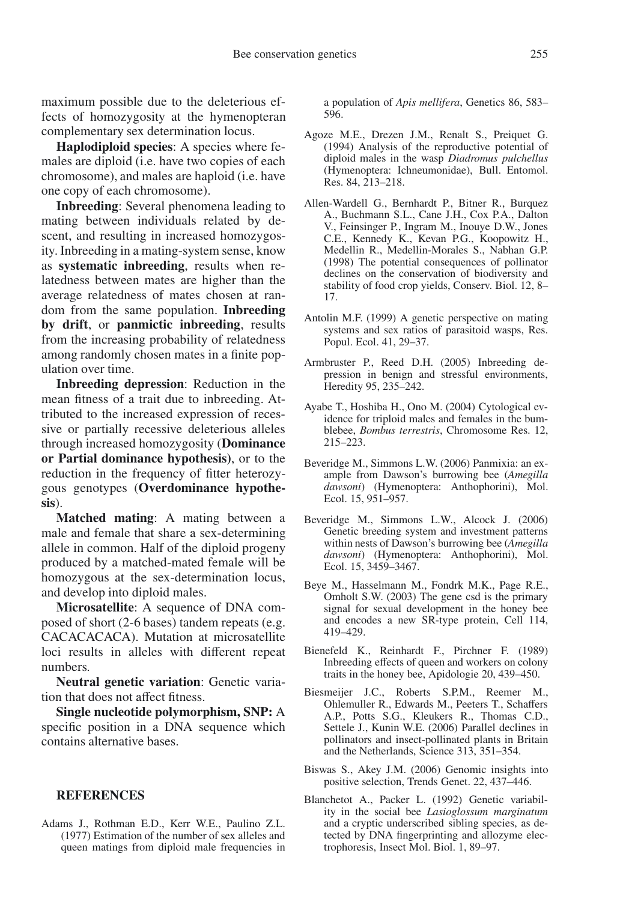maximum possible due to the deleterious effects of homozygosity at the hymenopteran complementary sex determination locus.

**Haplodiploid species**: A species where females are diploid (i.e. have two copies of each chromosome), and males are haploid (i.e. have one copy of each chromosome).

**Inbreeding**: Several phenomena leading to mating between individuals related by descent, and resulting in increased homozygosity. Inbreeding in a mating-system sense, know as **systematic inbreeding**, results when relatedness between mates are higher than the average relatedness of mates chosen at random from the same population. **Inbreeding by drift**, or **panmictic inbreeding**, results from the increasing probability of relatedness among randomly chosen mates in a finite population over time.

**Inbreeding depression**: Reduction in the mean fitness of a trait due to inbreeding. Attributed to the increased expression of recessive or partially recessive deleterious alleles through increased homozygosity (**Dominance or Partial dominance hypothesis)**, or to the reduction in the frequency of fitter heterozygous genotypes (**Overdominance hypothesis**).

**Matched mating**: A mating between a male and female that share a sex-determining allele in common. Half of the diploid progeny produced by a matched-mated female will be homozygous at the sex-determination locus, and develop into diploid males.

**Microsatellite**: A sequence of DNA composed of short (2-6 bases) tandem repeats (e.g. CACACACACA). Mutation at microsatellite loci results in alleles with different repeat numbers.

**Neutral genetic variation**: Genetic variation that does not affect fitness.

**Single nucleotide polymorphism, SNP:** A specific position in a DNA sequence which contains alternative bases.

#### **REFERENCES**

<span id="page-18-5"></span>Adams J., Rothman E.D., Kerr W.E., Paulino Z.L. (1977) Estimation of the number of sex alleles and queen matings from diploid male frequencies in a population of *Apis mellifera*, Genetics 86, 583– 596.

- <span id="page-18-3"></span>Agoze M.E., Drezen J.M., Renalt S., Preiquet G. (1994) Analysis of the reproductive potential of diploid males in the wasp *Diadromus pulchellus* (Hymenoptera: Ichneumonidae), Bull. Entomol. Res. 84, 213–218.
- <span id="page-18-0"></span>Allen-Wardell G., Bernhardt P., Bitner R., Burquez A., Buchmann S.L., Cane J.H., Cox P.A., Dalton V., Feinsinger P., Ingram M., Inouye D.W., Jones C.E., Kennedy K., Kevan P.G., Koopowitz H., Medellin R., Medellin-Morales S., Nabhan G.P. (1998) The potential consequences of pollinator declines on the conservation of biodiversity and stability of food crop yields, Conserv. Biol. 12, 8– 17.
- <span id="page-18-9"></span>Antolin M.F. (1999) A genetic perspective on mating systems and sex ratios of parasitoid wasps, Res. Popul. Ecol. 41, 29–37.
- <span id="page-18-7"></span>Armbruster P., Reed D.H. (2005) Inbreeding depression in benign and stressful environments, Heredity 95, 235–242.
- <span id="page-18-4"></span>Ayabe T., Hoshiba H., Ono M. (2004) Cytological evidence for triploid males and females in the bumblebee, *Bombus terrestris*, Chromosome Res. 12, 215–223.
- <span id="page-18-11"></span>Beveridge M., Simmons L.W. (2006) Panmixia: an example from Dawson's burrowing bee (*Amegilla dawsoni*) (Hymenoptera: Anthophorini), Mol. Ecol. 15, 951–957.
- <span id="page-18-6"></span>Beveridge M., Simmons L.W., Alcock J. (2006) Genetic breeding system and investment patterns within nests of Dawson's burrowing bee (*Amegilla dawsoni*) (Hymenoptera: Anthophorini), Mol. Ecol. 15, 3459–3467.
- <span id="page-18-2"></span>Beye M., Hasselmann M., Fondrk M.K., Page R.E., Omholt S.W. (2003) The gene csd is the primary signal for sexual development in the honey bee and encodes a new SR-type protein, Cell 114, 419–429.
- <span id="page-18-8"></span>Bienefeld K., Reinhardt F., Pirchner F. (1989) Inbreeding effects of queen and workers on colony traits in the honey bee, Apidologie 20, 439–450.
- <span id="page-18-1"></span>Biesmeijer J.C., Roberts S.P.M., Reemer M., Ohlemuller R., Edwards M., Peeters T., Schaffers A.P., Potts S.G., Kleukers R., Thomas C.D., Settele J., Kunin W.E. (2006) Parallel declines in pollinators and insect-pollinated plants in Britain and the Netherlands, Science 313, 351–354.
- <span id="page-18-12"></span>Biswas S., Akey J.M. (2006) Genomic insights into positive selection, Trends Genet. 22, 437–446.
- <span id="page-18-10"></span>Blanchetot A., Packer L. (1992) Genetic variability in the social bee *Lasioglossum marginatum* and a cryptic underscribed sibling species, as detected by DNA fingerprinting and allozyme electrophoresis, Insect Mol. Biol. 1, 89–97.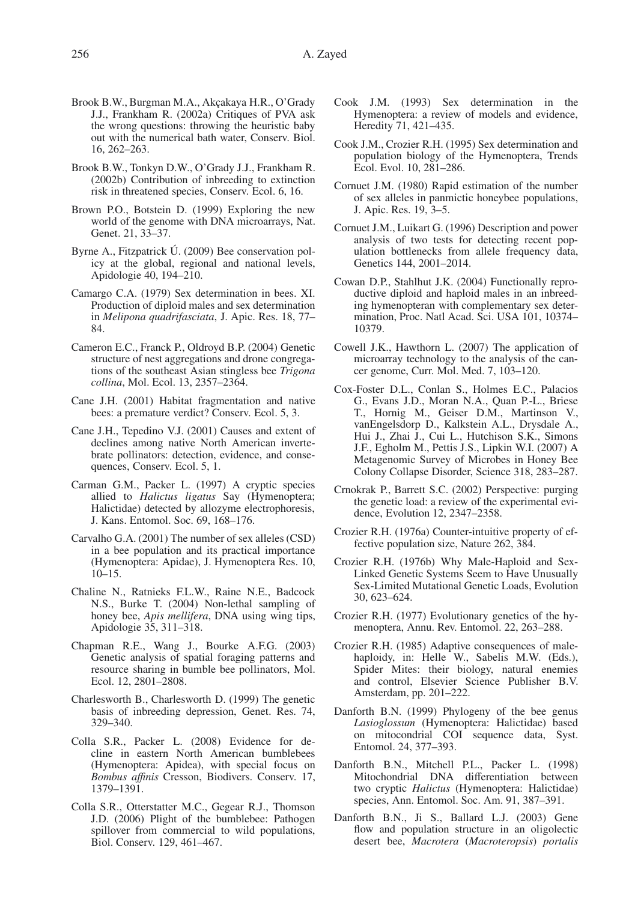- <span id="page-19-11"></span>Brook B.W., Burgman M.A., Akçakaya H.R., O'Grady J.J., Frankham R. (2002a) Critiques of PVA ask the wrong questions: throwing the heuristic baby out with the numerical bath water, Conserv. Biol. 16, 262–263.
- <span id="page-19-12"></span>Brook B.W., Tonkyn D.W., O'Grady J.J., Frankham R. (2002b) Contribution of inbreeding to extinction risk in threatened species, Conserv. Ecol. 6, 16.
- <span id="page-19-27"></span>Brown P.O., Botstein D. (1999) Exploring the new world of the genome with DNA microarrays, Nat. Genet. 21, 33–37.
- <span id="page-19-1"></span>Byrne A., Fitzpatrick Ú. (2009) Bee conservation policy at the global, regional and national levels, Apidologie 40, 194–210.
- <span id="page-19-9"></span>Camargo C.A. (1979) Sex determination in bees. XI. Production of diploid males and sex determination in *Melipona quadrifasciata*, J. Apic. Res. 18, 77– 84.
- <span id="page-19-13"></span>Cameron E.C., Franck P., Oldroyd B.P. (2004) Genetic structure of nest aggregations and drone congregations of the southeast Asian stingless bee *Trigona collina*, Mol. Ecol. 13, 2357–2364.
- <span id="page-19-2"></span>Cane J.H. (2001) Habitat fragmentation and native bees: a premature verdict? Conserv. Ecol. 5, 3.
- <span id="page-19-3"></span>Cane J.H., Tepedino V.J. (2001) Causes and extent of declines among native North American invertebrate pollinators: detection, evidence, and consequences, Conserv. Ecol. 5, 1.
- <span id="page-19-20"></span>Carman G.M., Packer L. (1997) A cryptic species allied to *Halictus ligatus* Say (Hymenoptera; Halictidae) detected by allozyme electrophoresis, J. Kans. Entomol. Soc. 69, 168–176.
- <span id="page-19-8"></span>Carvalho G.A. (2001) The number of sex alleles (CSD) in a bee population and its practical importance (Hymenoptera: Apidae), J. Hymenoptera Res. 10, 10–15.
- <span id="page-19-23"></span>Chaline N., Ratnieks F.L.W., Raine N.E., Badcock N.S., Burke T. (2004) Non-lethal sampling of honey bee, *Apis mellifera*, DNA using wing tips, Apidologie 35, 311–318.
- <span id="page-19-25"></span>Chapman R.E., Wang J., Bourke A.F.G. (2003) Genetic analysis of spatial foraging patterns and resource sharing in bumble bee pollinators, Mol. Ecol. 12, 2801–2808.
- <span id="page-19-14"></span>Charlesworth B., Charlesworth D. (1999) The genetic basis of inbreeding depression, Genet. Res. 74, 329–340.
- <span id="page-19-0"></span>Colla S.R., Packer L. (2008) Evidence for decline in eastern North American bumblebees (Hymenoptera: Apidea), with special focus on *Bombus a*ffi*nis* Cresson, Biodivers. Conserv. 17, 1379–1391.
- <span id="page-19-18"></span>Colla S.R., Otterstatter M.C., Gegear R.J., Thomson J.D. (2006) Plight of the bumblebee: Pathogen spillover from commercial to wild populations, Biol. Conserv. 129, 461–467.
- <span id="page-19-5"></span>Cook J.M. (1993) Sex determination in the Hymenoptera: a review of models and evidence, Heredity 71, 421–435.
- <span id="page-19-7"></span>Cook J.M., Crozier R.H. (1995) Sex determination and population biology of the Hymenoptera, Trends Ecol. Evol. 10, 281–286.
- <span id="page-19-10"></span>Cornuet J.M. (1980) Rapid estimation of the number of sex alleles in panmictic honeybee populations, J. Apic. Res. 19, 3–5.
- <span id="page-19-26"></span>Cornuet J.M., Luikart G. (1996) Description and power analysis of two tests for detecting recent population bottlenecks from allele frequency data, Genetics 144, 2001–2014.
- <span id="page-19-6"></span>Cowan D.P., Stahlhut J.K. (2004) Functionally reproductive diploid and haploid males in an inbreeding hymenopteran with complementary sex determination, Proc. Natl Acad. Sci. USA 101, 10374– 10379.
- <span id="page-19-28"></span>Cowell J.K., Hawthorn L. (2007) The application of microarray technology to the analysis of the cancer genome, Curr. Mol. Med. 7, 103–120.
- <span id="page-19-19"></span>Cox-Foster D.L., Conlan S., Holmes E.C., Palacios G., Evans J.D., Moran N.A., Quan P.-L., Briese T., Hornig M., Geiser D.M., Martinson V., vanEngelsdorp D., Kalkstein A.L., Drysdale A., Hui J., Zhai J., Cui L., Hutchison S.K., Simons J.F., Egholm M., Pettis J.S., Lipkin W.I. (2007) A Metagenomic Survey of Microbes in Honey Bee Colony Collapse Disorder, Science 318, 283–287.
- <span id="page-19-15"></span>Crnokrak P., Barrett S.C. (2002) Perspective: purging the genetic load: a review of the experimental evidence, Evolution 12, 2347–2358.
- <span id="page-19-17"></span>Crozier R.H. (1976a) Counter-intuitive property of effective population size, Nature 262, 384.
- <span id="page-19-16"></span>Crozier R.H. (1976b) Why Male-Haploid and Sex-Linked Genetic Systems Seem to Have Unusually Sex-Limited Mutational Genetic Loads, Evolution 30, 623–624.
- <span id="page-19-4"></span>Crozier R.H. (1977) Evolutionary genetics of the hymenoptera, Annu. Rev. Entomol. 22, 263–288.
- Crozier R.H. (1985) Adaptive consequences of malehaploidy, in: Helle W., Sabelis M.W. (Eds.), Spider Mites: their biology, natural enemies and control, Elsevier Science Publisher B.V. Amsterdam, pp. 201–222.
- <span id="page-19-22"></span>Danforth B.N. (1999) Phylogeny of the bee genus *Lasioglossum* (Hymenoptera: Halictidae) based on mitocondrial COI sequence data, Syst. Entomol. 24, 377–393.
- <span id="page-19-21"></span>Danforth B.N., Mitchell P.L., Packer L. (1998) Mitochondrial DNA differentiation between two cryptic *Halictus* (Hymenoptera: Halictidae) species, Ann. Entomol. Soc. Am. 91, 387–391.
- <span id="page-19-24"></span>Danforth B.N., Ji S., Ballard L.J. (2003) Gene flow and population structure in an oligolectic desert bee, *Macrotera* (*Macroteropsis*) *portalis*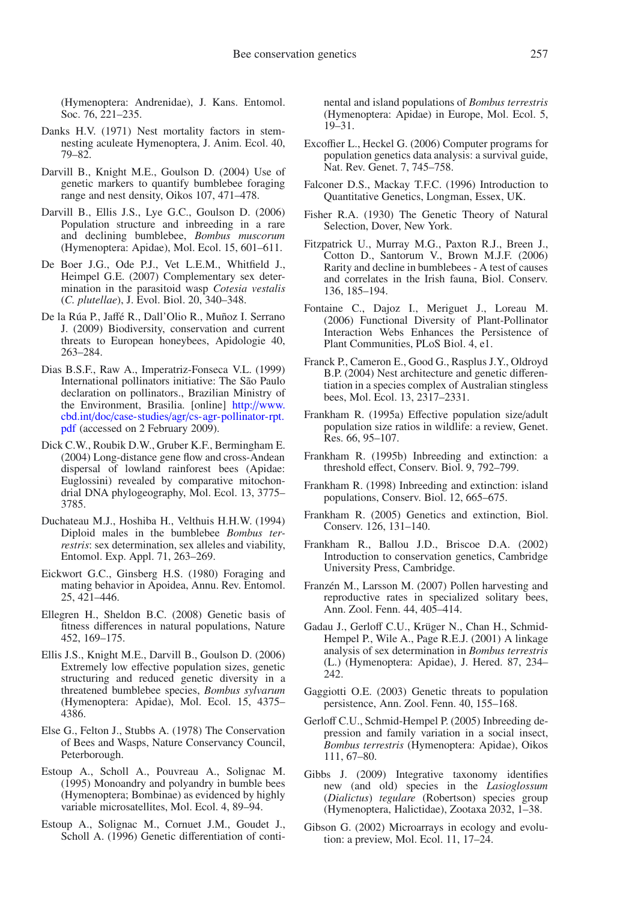(Hymenoptera: Andrenidae), J. Kans. Entomol. Soc. 76, 221–235.

- <span id="page-20-10"></span>Danks H.V. (1971) Nest mortality factors in stemnesting aculeate Hymenoptera, J. Anim. Ecol. 40, 79–82.
- <span id="page-20-26"></span>Darvill B., Knight M.E., Goulson D. (2004) Use of genetic markers to quantify bumblebee foraging range and nest density, Oikos 107, 471–478.
- <span id="page-20-8"></span>Darvill B., Ellis J.S., Lye G.C., Goulson D. (2006) Population structure and inbreeding in a rare and declining bumblebee, *Bombus muscorum* (Hymenoptera: Apidae), Mol. Ecol. 15, 601–611.
- <span id="page-20-16"></span>De Boer J.G., Ode P.J., Vet L.E.M., Whitfield J., Heimpel G.E. (2007) Complementary sex determination in the parasitoid wasp *Cotesia vestalis* (*C. plutellae*), J. Evol. Biol. 20, 340–348.
- <span id="page-20-28"></span>De la Rúa P., Jaffé R., Dall'Olio R., Muñoz I. Serrano J. (2009) Biodiversity, conservation and current threats to European honeybees, Apidologie 40, 263–284.
- <span id="page-20-2"></span>Dias B.S.F., Raw A., Imperatriz-Fonseca V.L. (1999) International pollinators initiative: The São Paulo declaration on pollinators., Brazilian Ministry of the Environment, Brasilia. [online] http://[www.](http://www.cbd.int/doc/case-studies/agr/cs-agr-pollinator-rpt.pdf) cbd.int/doc/case-studies/agr/[cs-agr-pollinator-rpt.](http://www.cbd.int/doc/case-studies/agr/cs-agr-pollinator-rpt.pdf) [pdf](http://www.cbd.int/doc/case-studies/agr/cs-agr-pollinator-rpt.pdf) (accessed on 2 February 2009).
- <span id="page-20-22"></span>Dick C.W., Roubik D.W., Gruber K.F., Bermingham E. (2004) Long-distance gene flow and cross-Andean dispersal of lowland rainforest bees (Apidae: Euglossini) revealed by comparative mitochondrial DNA phylogeography, Mol. Ecol. 13, 3775– 3785.
- <span id="page-20-7"></span>Duchateau M.J., Hoshiba H., Velthuis H.H.W. (1994) Diploid males in the bumblebee *Bombus terrestris*: sex determination, sex alleles and viability, Entomol. Exp. Appl. 71, 263–269.
- <span id="page-20-13"></span>Eickwort G.C., Ginsberg H.S. (1980) Foraging and mating behavior in Apoidea, Annu. Rev. Entomol. 25, 421–446.
- <span id="page-20-29"></span>Ellegren H., Sheldon B.C. (2008) Genetic basis of fitness differences in natural populations, Nature 452, 169–175.
- <span id="page-20-9"></span>Ellis J.S., Knight M.E., Darvill B., Goulson D. (2006) Extremely low effective population sizes, genetic structuring and reduced genetic diversity in a threatened bumblebee species, *Bombus sylvarum* (Hymenoptera: Apidae), Mol. Ecol. 15, 4375– 4386.
- <span id="page-20-11"></span>Else G., Felton J., Stubbs A. (1978) The Conservation of Bees and Wasps, Nature Conservancy Council, Peterborough.
- <span id="page-20-14"></span>Estoup A., Scholl A., Pouvreau A., Solignac M. (1995) Monoandry and polyandry in bumble bees (Hymenoptera; Bombinae) as evidenced by highly variable microsatellites, Mol. Ecol. 4, 89–94.
- <span id="page-20-25"></span>Estoup A., Solignac M., Cornuet J.M., Goudet J., Scholl A. (1996) Genetic differentiation of conti-

nental and island populations of *Bombus terrestris* (Hymenoptera: Apidae) in Europe, Mol. Ecol. 5, 19–31.

- <span id="page-20-24"></span>Excoffier L., Heckel G. (2006) Computer programs for population genetics data analysis: a survival guide, Nat. Rev. Genet. 7, 745–758.
- <span id="page-20-20"></span>Falconer D.S., Mackay T.F.C. (1996) Introduction to Quantitative Genetics, Longman, Essex, UK.
- <span id="page-20-19"></span>Fisher R.A. (1930) The Genetic Theory of Natural Selection, Dover, New York.
- <span id="page-20-0"></span>Fitzpatrick U., Murray M.G., Paxton R.J., Breen J., Cotton D., Santorum V., Brown M.J.F. (2006) Rarity and decline in bumblebees - A test of causes and correlates in the Irish fauna, Biol. Conserv. 136, 185–194.
- <span id="page-20-1"></span>Fontaine C., Dajoz I., Meriguet J., Loreau M. (2006) Functional Diversity of Plant-Pollinator Interaction Webs Enhances the Persistence of Plant Communities, PLoS Biol. 4, e1.
- <span id="page-20-21"></span>Franck P., Cameron E., Good G., Rasplus J.Y., Oldroyd B.P. (2004) Nest architecture and genetic differentiation in a species complex of Australian stingless bees, Mol. Ecol. 13, 2317–2331.
- <span id="page-20-15"></span>Frankham R. (1995a) Effective population size/adult population size ratios in wildlife: a review, Genet. Res. 66, 95–107.
- <span id="page-20-17"></span>Frankham R. (1995b) Inbreeding and extinction: a threshold effect, Conserv. Biol. 9, 792–799.
- Frankham R. (1998) Inbreeding and extinction: island populations, Conserv. Biol. 12, 665–675.
- <span id="page-20-5"></span>Frankham R. (2005) Genetics and extinction, Biol. Conserv. 126, 131–140.
- <span id="page-20-3"></span>Frankham R., Ballou J.D., Briscoe D.A. (2002) Introduction to conservation genetics, Cambridge University Press, Cambridge.
- <span id="page-20-12"></span>Franzén M., Larsson M. (2007) Pollen harvesting and reproductive rates in specialized solitary bees, Ann. Zool. Fenn. 44, 405–414.
- <span id="page-20-6"></span>Gadau J., Gerloff C.U., Krüger N., Chan H., Schmid-Hempel P., Wile A., Page R.E.J. (2001) A linkage analysis of sex determination in *Bombus terrestris* (L.) (Hymenoptera: Apidae), J. Hered. 87, 234– 242.
- <span id="page-20-4"></span>Gaggiotti O.E. (2003) Genetic threats to population persistence, Ann. Zool. Fenn. 40, 155–168.
- <span id="page-20-18"></span>Gerloff C.U., Schmid-Hempel P. (2005) Inbreeding depression and family variation in a social insect, *Bombus terrestris* (Hymenoptera: Apidae), Oikos 111, 67–80.
- <span id="page-20-23"></span>Gibbs J. (2009) Integrative taxonomy identifies new (and old) species in the *Lasioglossum* (*Dialictus*) *tegulare* (Robertson) species group (Hymenoptera, Halictidae), Zootaxa 2032, 1–38.
- <span id="page-20-27"></span>Gibson G. (2002) Microarrays in ecology and evolution: a preview, Mol. Ecol. 11, 17–24.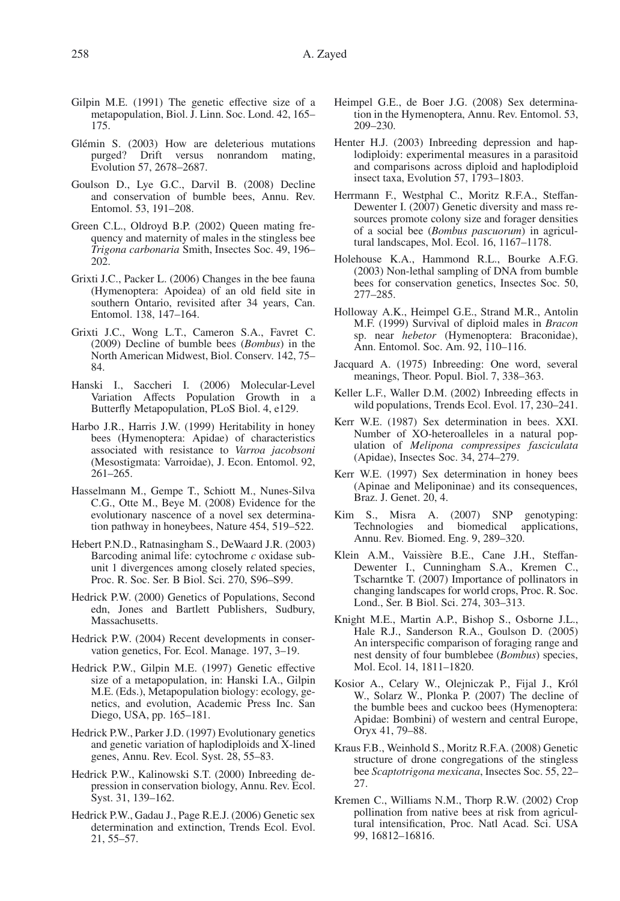- <span id="page-21-17"></span>Gilpin M.E. (1991) The genetic effective size of a metapopulation, Biol. J. Linn. Soc. Lond. 42, 165– 175.
- <span id="page-21-10"></span>Glémin S. (2003) How are deleterious mutations purged? Drift versus nonrandom mating, Evolution 57, 2678–2687.
- <span id="page-21-2"></span>Goulson D., Lye G.C., Darvil B. (2008) Decline and conservation of bumble bees, Annu. Rev. Entomol. 53, 191–208.
- <span id="page-21-15"></span>Green C.L., Oldroyd B.P. (2002) Queen mating frequency and maternity of males in the stingless bee *Trigona carbonaria* Smith, Insectes Soc. 49, 196– 202.
- <span id="page-21-28"></span>Grixti J.C., Packer L. (2006) Changes in the bee fauna (Hymenoptera: Apoidea) of an old field site in southern Ontario, revisited after 34 years, Can. Entomol. 138, 147–164.
- <span id="page-21-3"></span>Grixti J.C., Wong L.T., Cameron S.A., Favret C. (2009) Decline of bumble bees (*Bombus*) in the North American Midwest, Biol. Conserv. 142, 75– 84.
- <span id="page-21-5"></span>Hanski I., Saccheri I. (2006) Molecular-Level Variation Affects Population Growth in a Butterfly Metapopulation, PLoS Biol. 4, e129.
- <span id="page-21-23"></span>Harbo J.R., Harris J.W. (1999) Heritability in honey bees (Hymenoptera: Apidae) of characteristics associated with resistance to *Varroa jacobsoni* (Mesostigmata: Varroidae), J. Econ. Entomol. 92, 261–265.
- <span id="page-21-29"></span>Hasselmann M., Gempe T., Schiott M., Nunes-Silva C.G., Otte M., Beye M. (2008) Evidence for the evolutionary nascence of a novel sex determination pathway in honeybees, Nature 454, 519–522.
- <span id="page-21-24"></span>Hebert P.N.D., Ratnasingham S., DeWaard J.R. (2003) Barcoding animal life: cytochrome *c* oxidase subunit 1 divergences among closely related species, Proc. R. Soc. Ser. B Biol. Sci. 270, S96–S99.
- <span id="page-21-20"></span>Hedrick P.W. (2000) Genetics of Populations, Second edn, Jones and Bartlett Publishers, Sudbury, Massachusetts.
- <span id="page-21-7"></span>Hedrick P.W. (2004) Recent developments in conservation genetics, For. Ecol. Manage. 197, 3–19.
- <span id="page-21-18"></span>Hedrick P.W., Gilpin M.E. (1997) Genetic effective size of a metapopulation, in: Hanski I.A., Gilpin M.E. (Eds.), Metapopulation biology: ecology, genetics, and evolution, Academic Press Inc. San Diego, USA, pp. 165–181.
- <span id="page-21-6"></span>Hedrick P.W., Parker J.D. (1997) Evolutionary genetics and genetic variation of haplodiploids and X-lined genes, Annu. Rev. Ecol. Syst. 28, 55–83.
- <span id="page-21-21"></span>Hedrick P.W., Kalinowski S.T. (2000) Inbreeding depression in conservation biology, Annu. Rev. Ecol. Syst. 31, 139–162.
- <span id="page-21-16"></span>Hedrick P.W., Gadau J., Page R.E.J. (2006) Genetic sex determination and extinction, Trends Ecol. Evol. 21, 55–57.
- <span id="page-21-11"></span>Heimpel G.E., de Boer J.G. (2008) Sex determination in the Hymenoptera, Annu. Rev. Entomol. 53, 209–230.
- <span id="page-21-22"></span>Henter H.J. (2003) Inbreeding depression and haplodiploidy: experimental measures in a parasitoid and comparisons across diploid and haplodiploid insect taxa, Evolution 57, 1793–1803.
- <span id="page-21-26"></span>Herrmann F., Westphal C., Moritz R.F.A., Steffan-Dewenter I. (2007) Genetic diversity and mass resources promote colony size and forager densities of a social bee (*Bombus pascuorum*) in agricultural landscapes, Mol. Ecol. 16, 1167–1178.
- <span id="page-21-25"></span>Holehouse K.A., Hammond R.L., Bourke A.F.G. (2003) Non-lethal sampling of DNA from bumble bees for conservation genetics, Insectes Soc. 50, 277–285.
- <span id="page-21-12"></span>Holloway A.K., Heimpel G.E., Strand M.R., Antolin M.F. (1999) Survival of diploid males in *Bracon* sp. near *hebetor* (Hymenoptera: Braconidae), Ann. Entomol. Soc. Am. 92, 110–116.
- <span id="page-21-8"></span>Jacquard A. (1975) Inbreeding: One word, several meanings, Theor. Popul. Biol. 7, 338–363.
- <span id="page-21-9"></span>Keller L.F., Waller D.M. (2002) Inbreeding effects in wild populations, Trends Ecol. Evol. 17, 230–241.
- <span id="page-21-14"></span>Kerr W.E. (1987) Sex determination in bees. XXI. Number of XO-heteroalleles in a natural population of *Melipona compressipes fasciculata* (Apidae), Insectes Soc. 34, 274–279.
- <span id="page-21-13"></span>Kerr W.E. (1997) Sex determination in honey bees (Apinae and Meliponinae) and its consequences, Braz. J. Genet. 20, 4.
- <span id="page-21-30"></span>Kim S., Misra A. (2007) SNP genotyping: Technologies and biomedical applications, Annu. Rev. Biomed. Eng. 9, 289–320.
- <span id="page-21-0"></span>Klein A.M., Vaissière B.E., Cane J.H., Steffan-Dewenter I., Cunningham S.A., Kremen C., Tscharntke T. (2007) Importance of pollinators in changing landscapes for world crops, Proc. R. Soc. Lond., Ser. B Biol. Sci. 274, 303–313.
- <span id="page-21-27"></span>Knight M.E., Martin A.P., Bishop S., Osborne J.L., Hale R.J., Sanderson R.A., Goulson D. (2005) An interspecific comparison of foraging range and nest density of four bumblebee (*Bombus*) species, Mol. Ecol. 14, 1811–1820.
- <span id="page-21-1"></span>Kosior A., Celary W., Olejniczak P., Fijal J., Król W., Solarz W., Plonka P. (2007) The decline of the bumble bees and cuckoo bees (Hymenoptera: Apidae: Bombini) of western and central Europe, Oryx 41, 79–88.
- <span id="page-21-19"></span>Kraus F.B., Weinhold S., Moritz R.F.A. (2008) Genetic structure of drone congregations of the stingless bee *Scaptotrigona mexicana*, Insectes Soc. 55, 22– 27.
- <span id="page-21-4"></span>Kremen C., Williams N.M., Thorp R.W. (2002) Crop pollination from native bees at risk from agricultural intensification, Proc. Natl Acad. Sci. USA 99, 16812–16816.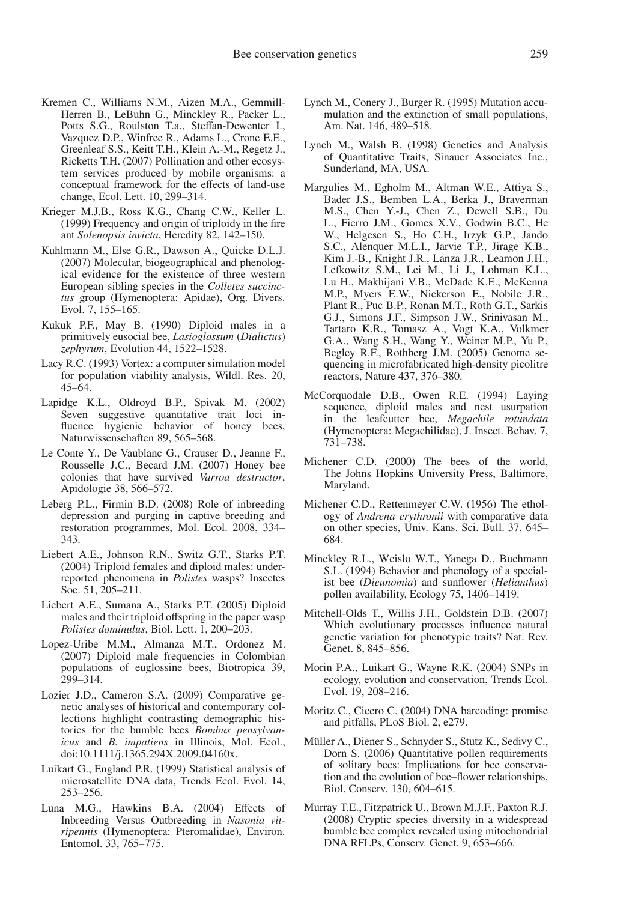- <span id="page-22-1"></span>Kremen C., Williams N.M., Aizen M.A., Gemmill-Herren B., LeBuhn G., Minckley R., Packer L., Potts S.G., Roulston T.a., Steffan-Dewenter I., Vazquez D.P., Winfree R., Adams L., Crone E.E., Greenleaf S.S., Keitt T.H., Klein A.-M., Regetz J., Ricketts T.H. (2007) Pollination and other ecosystem services produced by mobile organisms: a conceptual framework for the effects of land-use change, Ecol. Lett. 10, 299–314.
- <span id="page-22-7"></span>Krieger M.J.B., Ross K.G., Chang C.W., Keller L. (1999) Frequency and origin of triploidy in the fire ant *Solenopsis invicta*, Heredity 82, 142–150.
- <span id="page-22-18"></span>Kuhlmann M., Else G.R., Dawson A., Quicke D.L.J. (2007) Molecular, biogeographical and phenological evidence for the existence of three western European sibling species in the *Colletes succinctus* group (Hymenoptera: Apidae), Org. Divers. Evol. 7, 155–165.
- <span id="page-22-8"></span>Kukuk P.F., May B. (1990) Diploid males in a primitively eusocial bee, *Lasioglossum* (*Dialictus*) *zephyrum*, Evolution 44, 1522–1528.
- <span id="page-22-14"></span>Lacy R.C. (1993) Vortex: a computer simulation model for population viability analysis, Wildl. Res. 20,  $45-\overline{64}$ .
- <span id="page-22-17"></span>Lapidge K.L., Oldroyd B.P., Spivak M. (2002) Seven suggestive quantitative trait loci influence hygienic behavior of honey bees, Naturwissenschaften 89, 565–568.
- <span id="page-22-16"></span>Le Conte Y., De Vaublanc G., Crauser D., Jeanne F., Rousselle J.C., Becard J.M. (2007) Honey bee colonies that have survived *Varroa destructor*, Apidologie 38, 566–572.
- <span id="page-22-4"></span>Leberg P.L., Firmin B.D. (2008) Role of inbreeding depression and purging in captive breeding and restoration programmes, Mol. Ecol. 2008, 334– 343.
- <span id="page-22-5"></span>Liebert A.E., Johnson R.N., Switz G.T., Starks P.T. (2004) Triploid females and diploid males: underreported phenomena in *Polistes* wasps? Insectes Soc. 51, 205–211.
- <span id="page-22-6"></span>Liebert A.E., Sumana A., Starks P.T. (2005) Diploid males and their triploid offspring in the paper wasp *Polistes dominulus*, Biol. Lett. 1, 200–203.
- <span id="page-22-10"></span>Lopez-Uribe M.M., Almanza M.T., Ordonez M. (2007) Diploid male frequencies in Colombian populations of euglossine bees, Biotropica 39, 299–314.
- <span id="page-22-22"></span>Lozier J.D., Cameron S.A. (2009) Comparative genetic analyses of historical and contemporary collections highlight contrasting demographic histories for the bumble bees *Bombus pensylvanicus* and *B. impatiens* in Illinois, Mol. Ecol., doi:10.1111/j.1365.294X.2009.04160x.
- <span id="page-22-21"></span>Luikart G., England P.R. (1999) Statistical analysis of microsatellite DNA data, Trends Ecol. Evol. 14, 253–256.
- <span id="page-22-13"></span>Luna M.G., Hawkins B.A. (2004) Effects of Inbreeding Versus Outbreeding in *Nasonia vitripennis* (Hymenoptera: Pteromalidae), Environ. Entomol. 33, 765–775.
- <span id="page-22-3"></span>Lynch M., Conery J., Burger R. (1995) Mutation accumulation and the extinction of small populations, Am. Nat. 146, 489–518.
- <span id="page-22-15"></span>Lynch M., Walsh B. (1998) Genetics and Analysis of Quantitative Traits, Sinauer Associates Inc., Sunderland, MA, USA.
- <span id="page-22-23"></span>Margulies M., Egholm M., Altman W.E., Attiya S., Bader J.S., Bemben L.A., Berka J., Braverman M.S., Chen Y.-J., Chen Z., Dewell S.B., Du L., Fierro J.M., Gomes X.V., Godwin B.C., He W., Helgesen S., Ho C.H., Irzyk G.P., Jando S.C., Alenquer M.L.I., Jarvie T.P., Jirage K.B., Kim J.-B., Knight J.R., Lanza J.R., Leamon J.H., Lefkowitz S.M., Lei M., Li J., Lohman K.L., Lu H., Makhijani V.B., McDade K.E., McKenna M.P., Myers E.W., Nickerson E., Nobile J.R., Plant R., Puc B.P., Ronan M.T., Roth G.T., Sarkis G.J., Simons J.F., Simpson J.W., Srinivasan M., Tartaro K.R., Tomasz A., Vogt K.A., Volkmer G.A., Wang S.H., Wang Y., Weiner M.P., Yu P., Begley R.F., Rothberg J.M. (2005) Genome sequencing in microfabricated high-density picolitre reactors, Nature 437, 376–380.
- <span id="page-22-9"></span>McCorquodale D.B., Owen R.E. (1994) Laying sequence, diploid males and nest usurpation in the leafcutter bee, *Megachile rotundata* (Hymenoptera: Megachilidae), J. Insect. Behav. 7, 731–738.
- <span id="page-22-0"></span>Michener C.D. (2000) The bees of the world, The Johns Hopkins University Press, Baltimore, Maryland.
- <span id="page-22-11"></span>Michener C.D., Rettenmeyer C.W. (1956) The ethology of *Andrena erythronii* with comparative data on other species, Univ. Kans. Sci. Bull. 37, 645– 684.
- <span id="page-22-12"></span>Minckley R.L., Wcislo W.T., Yanega D., Buchmann S.L. (1994) Behavior and phenology of a specialist bee (*Dieunomia*) and sunflower (*Helianthus*) pollen availability, Ecology 75, 1406–1419.
- <span id="page-22-25"></span>Mitchell-Olds T., Willis J.H., Goldstein D.B. (2007) Which evolutionary processes influence natural genetic variation for phenotypic traits? Nat. Rev. Genet. 8, 845–856.
- <span id="page-22-24"></span>Morin P.A., Luikart G., Wayne R.K. (2004) SNPs in ecology, evolution and conservation, Trends Ecol. Evol. 19, 208–216.
- <span id="page-22-20"></span>Moritz C., Cicero C. (2004) DNA barcoding: promise and pitfalls, PLoS Biol. 2, e279.
- <span id="page-22-2"></span>Müller A., Diener S., Schnyder S., Stutz K., Sedivy C., Dorn S. (2006) Quantitative pollen requirements of solitary bees: Implications for bee conservation and the evolution of bee–flower relationships, Biol. Conserv. 130, 604–615.
- <span id="page-22-19"></span>Murray T.E., Fitzpatrick U., Brown M.J.F., Paxton R.J. (2008) Cryptic species diversity in a widespread bumble bee complex revealed using mitochondrial DNA RFLPs, Conserv. Genet. 9, 653–666.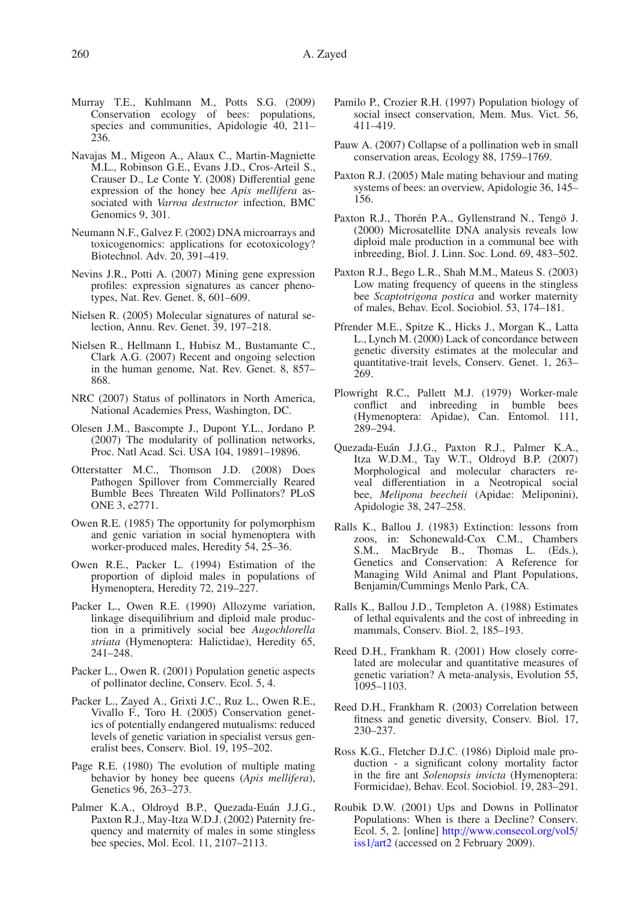- <span id="page-23-3"></span>Murray T.E., Kuhlmann M., Potts S.G. (2009) Conservation ecology of bees: populations, species and communities, Apidologie 40, 211– 236.
- <span id="page-23-27"></span>Navajas M., Migeon A., Alaux C., Martin-Magniette M.L., Robinson G.E., Evans J.D., Cros-Arteil S., Crauser D., Le Conte Y. (2008) Differential gene expression of the honey bee *Apis mellifera* associated with *Varroa destructor* infection, BMC Genomics 9, 301.
- <span id="page-23-25"></span>Neumann N.F., Galvez F. (2002) DNA microarrays and toxicogenomics: applications for ecotoxicology? Biotechnol. Adv. 20, 391–419.
- <span id="page-23-26"></span>Nevins J.R., Potti A. (2007) Mining gene expression profiles: expression signatures as cancer phenotypes, Nat. Rev. Genet. 8, 601–609.
- <span id="page-23-28"></span>Nielsen R. (2005) Molecular signatures of natural selection, Annu. Rev. Genet. 39, 197–218.
- <span id="page-23-29"></span>Nielsen R., Hellmann I., Hubisz M., Bustamante C., Clark A.G. (2007) Recent and ongoing selection in the human genome, Nat. Rev. Genet. 8, 857– 868.
- <span id="page-23-0"></span>NRC (2007) Status of pollinators in North America, National Academies Press, Washington, DC.
- <span id="page-23-1"></span>Olesen J.M., Bascompte J., Dupont Y.L., Jordano P. (2007) The modularity of pollination networks, Proc. Natl Acad. Sci. USA 104, 19891–19896.
- <span id="page-23-22"></span>Otterstatter M.C., Thomson J.D. (2008) Does Pathogen Spillover from Commercially Reared Bumble Bees Threaten Wild Pollinators? PLoS ONE 3, e2771.
- <span id="page-23-18"></span>Owen R.E. (1985) The opportunity for polymorphism and genic variation in social hymenoptera with worker-produced males, Heredity 54, 25–36.
- <span id="page-23-10"></span>Owen R.E., Packer L. (1994) Estimation of the proportion of diploid males in populations of Hymenoptera, Heredity 72, 219–227.
- <span id="page-23-8"></span>Packer L., Owen R.E. (1990) Allozyme variation, linkage disequilibrium and diploid male production in a primitively social bee *Augochlorella striata* (Hymenoptera: Halictidae), Heredity 65, 241–248.
- <span id="page-23-17"></span>Packer L., Owen R. (2001) Population genetic aspects of pollinator decline, Conserv. Ecol. 5, 4.
- <span id="page-23-19"></span>Packer L., Zayed A., Grixti J.C., Ruz L., Owen R.E., Vivallo F., Toro H. (2005) Conservation genetics of potentially endangered mutualisms: reduced levels of genetic variation in specialist versus generalist bees, Conserv. Biol. 19, 195–202.
- <span id="page-23-13"></span>Page R.E. (1980) The evolution of multiple mating behavior by honey bee queens (*Apis mellifera*), Genetics 96, 263–273.
- <span id="page-23-11"></span>Palmer K.A., Oldroyd B.P., Quezada-Euán J.J.G., Paxton R.J., May-Itza W.D.J. (2002) Paternity frequency and maternity of males in some stingless bee species, Mol. Ecol. 11, 2107–2113.
- <span id="page-23-4"></span>Pamilo P., Crozier R.H. (1997) Population biology of social insect conservation, Mem. Mus. Vict. 56, 411–419.
- <span id="page-23-2"></span>Pauw A. (2007) Collapse of a pollination web in small conservation areas, Ecology 88, 1759–1769.
- <span id="page-23-12"></span>Paxton R.J. (2005) Male mating behaviour and mating systems of bees: an overview, Apidologie 36, 145– 156.
- <span id="page-23-7"></span>Paxton R.J., Thorén P.A., Gyllenstrand N., Tengö J. (2000) Microsatellite DNA analysis reveals low diploid male production in a communal bee with inbreeding, Biol. J. Linn. Soc. Lond. 69, 483–502.
- <span id="page-23-9"></span>Paxton R.J., Bego L.R., Shah M.M., Mateus S. (2003) Low mating frequency of queens in the stingless bee *Scaptotrigona postica* and worker maternity of males, Behav. Ecol. Sociobiol. 53, 174–181.
- <span id="page-23-20"></span>Pfrender M.E., Spitze K., Hicks J., Morgan K., Latta L., Lynch M. (2000) Lack of concordance between genetic diversity estimates at the molecular and quantitative-trait levels, Conserv. Genet. 1, 263– 269.
- <span id="page-23-5"></span>Plowright R.C., Pallett M.J. (1979) Worker-male conflict and inbreeding in bumble bees (Hymenoptera: Apidae), Can. Entomol. 111, 289–294.
- <span id="page-23-23"></span>Quezada-Euán J.J.G., Paxton R.J., Palmer K.A., Itza W.D.M., Tay W.T., Oldroyd B.P. (2007) Morphological and molecular characters reveal differentiation in a Neotropical social bee, *Melipona beecheii* (Apidae: Meliponini), Apidologie 38, 247–258.
- <span id="page-23-14"></span>Ralls K., Ballou J. (1983) Extinction: lessons from zoos, in: Schonewald-Cox C.M., Chambers S.M., MacBryde B., Thomas L. (Eds.), Genetics and Conservation: A Reference for Managing Wild Animal and Plant Populations, Benjamin/Cummings Menlo Park, CA.
- <span id="page-23-15"></span>Ralls K., Ballou J.D., Templeton A. (1988) Estimates of lethal equivalents and the cost of inbreeding in mammals, Conserv. Biol. 2, 185–193.
- <span id="page-23-21"></span>Reed D.H., Frankham R. (2001) How closely correlated are molecular and quantitative measures of genetic variation? A meta-analysis, Evolution 55, 1095–1103.
- <span id="page-23-16"></span>Reed D.H., Frankham R. (2003) Correlation between fitness and genetic diversity, Conserv. Biol. 17, 230–237.
- <span id="page-23-6"></span>Ross K.G., Fletcher D.J.C. (1986) Diploid male production - a significant colony mortality factor in the fire ant *Solenopsis invicta* (Hymenoptera: Formicidae), Behav. Ecol. Sociobiol. 19, 283–291.
- <span id="page-23-24"></span>Roubik D.W. (2001) Ups and Downs in Pollinator Populations: When is there a Decline? Conserv. Ecol. 5, 2. [online] http://[www.consecol.org](http://www.consecol.org/vol5/iss1/art2)/vol5/ [iss1](http://www.consecol.org/vol5/iss1/art2)/art2 (accessed on 2 February 2009).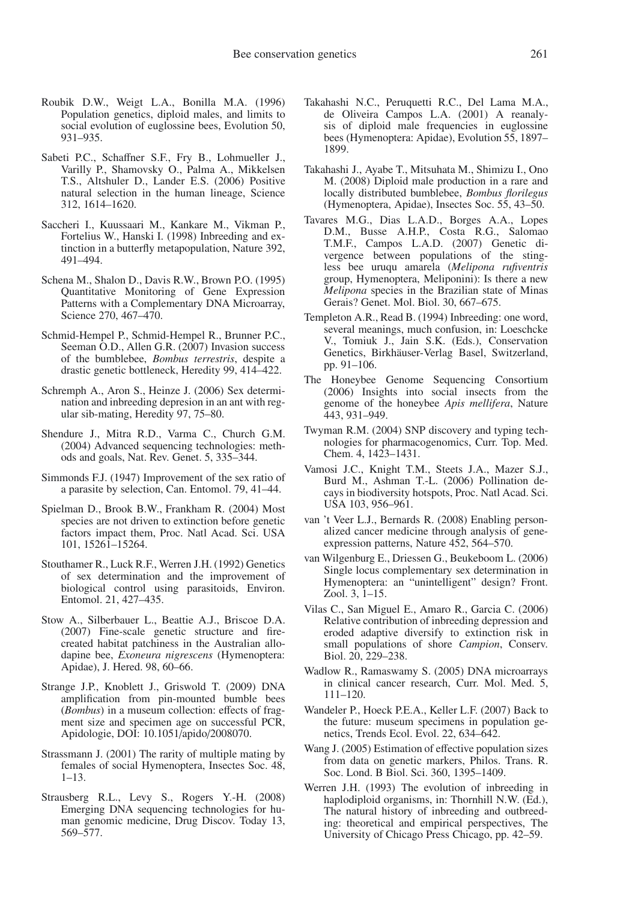- <span id="page-24-8"></span>Roubik D.W., Weigt L.A., Bonilla M.A. (1996) Population genetics, diploid males, and limits to social evolution of euglossine bees, Evolution 50, 931–935.
- <span id="page-24-27"></span>Sabeti P.C., Schaffner S.F., Fry B., Lohmueller J., Varilly P., Shamovsky O., Palma A., Mikkelsen T.S., Altshuler D., Lander E.S. (2006) Positive natural selection in the human lineage, Science 312, 1614–1620.
- <span id="page-24-1"></span>Saccheri I., Kuussaari M., Kankare M., Vikman P., Fortelius W., Hanski I. (1998) Inbreeding and extinction in a butterfly metapopulation, Nature 392, 491–494.
- <span id="page-24-22"></span>Schena M., Shalon D., Davis R.W., Brown P.O. (1995) Quantitative Monitoring of Gene Expression Patterns with a Complementary DNA Microarray, Science 270, 467–470.
- <span id="page-24-17"></span>Schmid-Hempel P., Schmid-Hempel R., Brunner P.C., Seeman O.D., Allen G.R. (2007) Invasion success of the bumblebee, *Bombus terrestris*, despite a drastic genetic bottleneck, Heredity 99, 414–422.
- <span id="page-24-13"></span>Schremph A., Aron S., Heinze J. (2006) Sex determination and inbreeding depresion in an ant with regular sib-mating, Heredity 97, 75–80.
- <span id="page-24-20"></span>Shendure J., Mitra R.D., Varma C., Church G.M. (2004) Advanced sequencing technologies: methods and goals, Nat. Rev. Genet. 5, 335–344.
- <span id="page-24-9"></span>Simmonds F.J. (1947) Improvement of the sex ratio of a parasite by selection, Can. Entomol. 79, 41–44.
- <span id="page-24-2"></span>Spielman D., Brook B.W., Frankham R. (2004) Most species are not driven to extinction before genetic factors impact them, Proc. Natl Acad. Sci. USA 101, 15261–15264.
- <span id="page-24-5"></span>Stouthamer R., Luck R.F., Werren J.H. (1992) Genetics of sex determination and the improvement of biological control using parasitoids, Environ. Entomol. 21, 427–435.
- <span id="page-24-15"></span>Stow A., Silberbauer L., Beattie A.J., Briscoe D.A. (2007) Fine-scale genetic structure and firecreated habitat patchiness in the Australian allodapine bee, *Exoneura nigrescens* (Hymenoptera: Apidae), J. Hered. 98, 60–66.
- <span id="page-24-19"></span>Strange J.P., Knoblett J., Griswold T. (2009) DNA amplification from pin-mounted bumble bees (*Bombus*) in a museum collection: effects of fragment size and specimen age on successful PCR, Apidologie, DOI: 10.1051/apido/2008070.
- <span id="page-24-10"></span>Strassmann J. (2001) The rarity of multiple mating by females of social Hymenoptera, Insectes Soc. 48, 1–13.
- <span id="page-24-21"></span>Strausberg R.L., Levy S., Rogers Y.-H. (2008) Emerging DNA sequencing technologies for human genomic medicine, Drug Discov. Today 13, 569–577.
- <span id="page-24-7"></span>Takahashi N.C., Peruquetti R.C., Del Lama M.A., de Oliveira Campos L.A. (2001) A reanalysis of diploid male frequencies in euglossine bees (Hymenoptera: Apidae), Evolution 55, 1897– 1899.
- <span id="page-24-6"></span>Takahashi J., Ayabe T., Mitsuhata M., Shimizu I., Ono M. (2008) Diploid male production in a rare and locally distributed bumblebee, *Bombus florilegus* (Hymenoptera, Apidae), Insectes Soc. 55, 43–50.
- <span id="page-24-14"></span>Tavares M.G., Dias L.A.D., Borges A.A., Lopes D.M., Busse A.H.P., Costa R.G., Salomao T.M.F., Campos L.A.D. (2007) Genetic divergence between populations of the stingless bee uruqu amarela (*Melipona rufiventris* group, Hymenoptera, Meliponini): Is there a new *Melipona* species in the Brazilian state of Minas Gerais? Genet. Mol. Biol. 30, 667–675.
- <span id="page-24-3"></span>Templeton A.R., Read B. (1994) Inbreeding: one word, several meanings, much confusion, in: Loeschcke V., Tomiuk J., Jain S.K. (Eds.), Conservation Genetics, Birkhäuser-Verlag Basel, Switzerland, pp. 91–106.
- <span id="page-24-25"></span>The Honeybee Genome Sequencing Consortium (2006) Insights into social insects from the genome of the honeybee *Apis mellifera*, Nature 443, 931–949.
- <span id="page-24-26"></span>Twyman R.M. (2004) SNP discovery and typing technologies for pharmacogenomics, Curr. Top. Med. Chem. 4, 1423–1431.
- <span id="page-24-0"></span>Vamosi J.C., Knight T.M., Steets J.A., Mazer S.J., Burd M., Ashman T.-L. (2006) Pollination decays in biodiversity hotspots, Proc. Natl Acad. Sci. USA 103, 956–961.
- <span id="page-24-23"></span>van 't Veer L.J., Bernards R. (2008) Enabling personalized cancer medicine through analysis of geneexpression patterns, Nature 452, 564–570.
- <span id="page-24-4"></span>van Wilgenburg E., Driessen G., Beukeboom L. (2006) Single locus complementary sex determination in Hymenoptera: an "unintelligent" design? Front. Zool. 3, 1–15.
- <span id="page-24-11"></span>Vilas C., San Miguel E., Amaro R., Garcia C. (2006) Relative contribution of inbreeding depression and eroded adaptive diversify to extinction risk in small populations of shore *Campion*, Conserv. Biol. 20, 229–238.
- <span id="page-24-24"></span>Wadlow R., Ramaswamy S. (2005) DNA microarrays in clinical cancer research, Curr. Mol. Med. 5, 111–120.
- <span id="page-24-18"></span>Wandeler P., Hoeck P.E.A., Keller L.F. (2007) Back to the future: museum specimens in population genetics, Trends Ecol. Evol. 22, 634–642.
- <span id="page-24-16"></span>Wang J. (2005) Estimation of effective population sizes from data on genetic markers, Philos. Trans. R. Soc. Lond. B Biol. Sci. 360, 1395–1409.
- <span id="page-24-12"></span>Werren J.H. (1993) The evolution of inbreeding in haplodiploid organisms, in: Thornhill N.W. (Ed.), The natural history of inbreeding and outbreeding: theoretical and empirical perspectives, The University of Chicago Press Chicago, pp. 42–59.